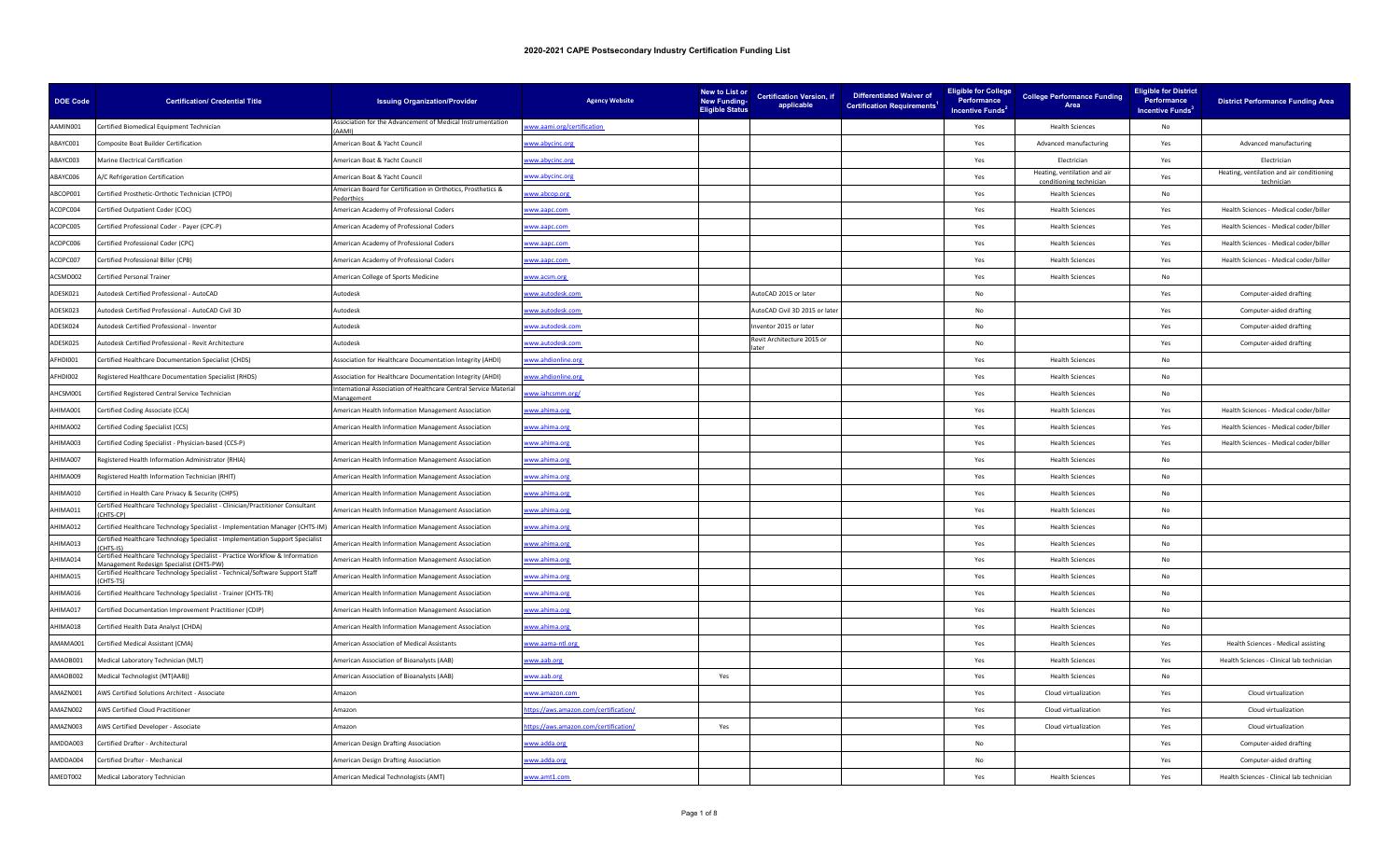| <b>DOE Code</b> | <b>Certification/ Credential Title</b>                                                                            | <b>Issuing Organization/Provider</b>                                        | <b>Agency Website</b>                | New to List or<br><b>New Funding-</b><br><b>Eligible Status</b> | <b>Certification Version, if</b><br>applicable | <b>Differentiated Waiver of</b><br><b>Certification Requirements<sup>1</sup></b> | <b>Eligible for College</b><br>Performance<br>Incentive Funds <sup>2</sup> | <b>College Performance Funding</b><br>Area              | <b>Eligible for District</b><br>Performance<br>Incentive Funds <sup>3</sup> | <b>District Performance Funding Area</b>                |
|-----------------|-------------------------------------------------------------------------------------------------------------------|-----------------------------------------------------------------------------|--------------------------------------|-----------------------------------------------------------------|------------------------------------------------|----------------------------------------------------------------------------------|----------------------------------------------------------------------------|---------------------------------------------------------|-----------------------------------------------------------------------------|---------------------------------------------------------|
| AAMIN001        | Certified Biomedical Equipment Technician                                                                         | ssociation for the Advancement of Medical Instrumentation<br><b>AMI</b>     | www.aami.org/certification           |                                                                 |                                                |                                                                                  | Yes                                                                        | <b>Health Sciences</b>                                  | No                                                                          |                                                         |
| ABAYC001        | Composite Boat Builder Certification                                                                              | Imerican Boat & Yacht Council                                               | www.abycinc.org                      |                                                                 |                                                |                                                                                  | Yes                                                                        | Advanced manufacturing                                  | Yes                                                                         | Advanced manufacturing                                  |
| ABAYC003        | Marine Electrical Certification                                                                                   | merican Boat & Yacht Council                                                | ww.abycinc.org                       |                                                                 |                                                |                                                                                  | Yes                                                                        | Electrician                                             | Yes                                                                         | Electrician                                             |
| ABAYC006        | A/C Refrigeration Certification                                                                                   | American Boat & Yacht Council                                               | www.abycinc.org                      |                                                                 |                                                |                                                                                  | Yes                                                                        | Heating, ventilation and air<br>conditioning technicial | Yes                                                                         | Heating, ventilation and air conditioning<br>techniciar |
| ABCOP001        | Certified Prosthetic-Orthotic Technician (CTPO)                                                                   | merican Board for Certification in Orthotics, Prosthetics &                 | ww.abcop.org                         |                                                                 |                                                |                                                                                  | Yes                                                                        | <b>Health Sciences</b>                                  | No                                                                          |                                                         |
| ACOPC004        | Certified Outpatient Coder (COC)                                                                                  | American Academy of Professional Coders                                     | ww.aapc.com                          |                                                                 |                                                |                                                                                  | Yes                                                                        | <b>Health Sciences</b>                                  | Yes                                                                         | Health Sciences - Medical coder/biller                  |
| ACOPC005        | Certified Professional Coder - Payer (CPC-P)                                                                      | <b>Imerican Academy of Professional Coders</b>                              | ww.aapc.com                          |                                                                 |                                                |                                                                                  | Yes                                                                        | <b>Health Sciences</b>                                  | Yes                                                                         | Health Sciences - Medical coder/biller                  |
| ACOPC006        | Certified Professional Coder (CPC)                                                                                | <b>Imerican Academy of Professional Coders</b>                              | ww.aapc.com                          |                                                                 |                                                |                                                                                  | Yes                                                                        | <b>Health Sciences</b>                                  | Yes                                                                         | Health Sciences - Medical coder/biller                  |
| ACOPC007        | Certified Professional Biller (CPB)                                                                               | <b>Imerican Academy of Professional Coders</b>                              | www.aapc.com                         |                                                                 |                                                |                                                                                  | Yes                                                                        | <b>Health Sciences</b>                                  | Yes                                                                         | Health Sciences - Medical coder/biller                  |
| ACSMD002        | Certified Personal Trainer                                                                                        | <b>Imerican College of Sports Medicine</b>                                  | ww.acsm.org                          |                                                                 |                                                |                                                                                  | Yes                                                                        | <b>Health Sciences</b>                                  | No                                                                          |                                                         |
| ADESK021        | Autodesk Certified Professional - AutoCAD                                                                         | <b>Autodesk</b>                                                             | ww.autodesk.com                      |                                                                 | AutoCAD 2015 or later                          |                                                                                  | No                                                                         |                                                         | Yes                                                                         | Computer-aided drafting                                 |
| ADESK023        | Autodesk Certified Professional - AutoCAD Civil 3D                                                                | Autodesk                                                                    | ww.autodesk.com                      |                                                                 | AutoCAD Civil 3D 2015 or late                  |                                                                                  | No                                                                         |                                                         | Yes                                                                         | Computer-aided drafting                                 |
| ADESK024        | Autodesk Certified Professional - Inventor                                                                        | <b>Autodesk</b>                                                             | www.autodesk.com                     |                                                                 | nventor 2015 or later                          |                                                                                  | No                                                                         |                                                         | Yes                                                                         | Computer-aided drafting                                 |
| ADESK025        | Autodesk Certified Professional - Revit Architecture                                                              | utodesk                                                                     | ww.autodesk.com                      |                                                                 | Revit Architecture 2015 or                     |                                                                                  | No                                                                         |                                                         | Yes                                                                         | Computer-aided drafting                                 |
| AFHDI001        | Certified Healthcare Documentation Specialist (CHDS)                                                              | <b>Association for Healthcare Documentation Integrity (AHDI)</b>            | www.ahdionline.org                   |                                                                 |                                                |                                                                                  | Yes                                                                        | <b>Health Sciences</b>                                  | No                                                                          |                                                         |
| AFHDI002        | Registered Healthcare Documentation Specialist (RHDS)                                                             | <b>Association for Healthcare Documentation Integrity (AHDI)</b>            | ww.ahdionline.org                    |                                                                 |                                                |                                                                                  | Yes                                                                        | <b>Health Sciences</b>                                  | No                                                                          |                                                         |
| AHCSM001        | Certified Registered Central Service Technician                                                                   | nternational Association of Healthcare Central Service Material<br>anagemer | ww.iahcsmm.org/                      |                                                                 |                                                |                                                                                  | Yes                                                                        | <b>Health Sciences</b>                                  | No                                                                          |                                                         |
| AHIMA001        | Certified Coding Associate (CCA)                                                                                  | Imerican Health Information Management Association                          | ww.ahima.org                         |                                                                 |                                                |                                                                                  | Yes                                                                        | <b>Health Sciences</b>                                  | Yes                                                                         | Health Sciences - Medical coder/biller                  |
| AHIMA002        | Certified Coding Specialist (CCS)                                                                                 | Imerican Health Information Management Association                          | ww.ahima.org                         |                                                                 |                                                |                                                                                  | Yes                                                                        | <b>Health Sciences</b>                                  | Yes                                                                         | Health Sciences - Medical coder/biller                  |
| E00AMIHA        | Certified Coding Specialist - Physician-based (CCS-P)                                                             | Imerican Health Information Management Association                          | www.ahima.org                        |                                                                 |                                                |                                                                                  | Yes                                                                        | <b>Health Sciences</b>                                  | Yes                                                                         | Health Sciences - Medical coder/biller                  |
| AHIMA007        | Registered Health Information Administrator (RHIA)                                                                | <b>Imerican Health Information Management Association</b>                   | www.ahima.org                        |                                                                 |                                                |                                                                                  | Yes                                                                        | <b>Health Sciences</b>                                  | <b>No</b>                                                                   |                                                         |
| POOAMIHA        | Registered Health Information Technician (RHIT)                                                                   | merican Health Information Management Association                           | www.ahima.org                        |                                                                 |                                                |                                                                                  | Yes                                                                        | <b>Health Sciences</b>                                  | No                                                                          |                                                         |
| AHIMA010        | Certified in Health Care Privacy & Security (CHPS)                                                                | merican Health Information Management Association                           | ww.ahima.org                         |                                                                 |                                                |                                                                                  | Yes                                                                        | <b>Health Sciences</b>                                  | No                                                                          |                                                         |
| AHIMA011        | Certified Healthcare Technology Specialist - Clinician/Practitioner Consultant<br>ITS-CPI                         | merican Health Information Management Association                           | ww.ahima.org                         |                                                                 |                                                |                                                                                  | Yes                                                                        | <b>Health Sciences</b>                                  | No                                                                          |                                                         |
| AHIMA012        | Certified Healthcare Technology Specialist - Implementation Manager (CHTS-IM)                                     | merican Health Information Management Association                           | ww.ahima.org                         |                                                                 |                                                |                                                                                  | Yes                                                                        | <b>Health Sciences</b>                                  | No                                                                          |                                                         |
| AHIMA013        | ertified Healthcare Technology Specialist - Implementation Support Specialist<br>HTS-IS                           | merican Health Information Management Association                           | www.ahima.org                        |                                                                 |                                                |                                                                                  | Yes                                                                        | <b>Health Sciences</b>                                  | No                                                                          |                                                         |
| AHIMA014        | ertified Healthcare Technology Specialist - Practice Workflow & Information<br>nent Redesign Specialist (CHTS-PW) | merican Health Information Management Association                           | ww.ahima.org                         |                                                                 |                                                |                                                                                  | Yes                                                                        | <b>Health Sciences</b>                                  | No                                                                          |                                                         |
| AHIMA015        | Certified Healthcare Technology Specialist - Technical/Software Support Staff<br><b>HTS-TSI</b>                   | merican Health Information Management Association                           | www.ahima.org                        |                                                                 |                                                |                                                                                  | Yes                                                                        | <b>Health Sciences</b>                                  | No                                                                          |                                                         |
| AHIMA016        | Certified Healthcare Technology Specialist - Trainer (CHTS-TR)                                                    | merican Health Information Management Association                           | ww.ahima.org                         |                                                                 |                                                |                                                                                  | Yes                                                                        | <b>Health Sciences</b>                                  | No                                                                          |                                                         |
| AHIMA017        | Certified Documentation Improvement Practitioner (CDIP)                                                           | American Health Information Management Association                          | www.ahima.org                        |                                                                 |                                                |                                                                                  | Yes                                                                        | <b>Health Sciences</b>                                  | No                                                                          |                                                         |
| AHIMA018        | Certified Health Data Analyst (CHDA)                                                                              | Imerican Health Information Management Association                          | ww.ahima.org                         |                                                                 |                                                |                                                                                  | Yes                                                                        | <b>Health Sciences</b>                                  | No                                                                          |                                                         |
| AMAMA001        | Certified Medical Assistant (CMA)                                                                                 | merican Association of Medical Assistants                                   | ww.aama-ntl.org                      |                                                                 |                                                |                                                                                  | Yes                                                                        | <b>Health Sciences</b>                                  | Yes                                                                         | Health Sciences - Medical assisting                     |
| AMAOB001        | Medical Laboratory Technician (MLT)                                                                               | <b>Imerican Association of Bioanalysts (AAB)</b>                            | ww.aab.org                           |                                                                 |                                                |                                                                                  | Yes                                                                        | <b>Health Sciences</b>                                  | Yes                                                                         | Health Sciences - Clinical lab technician               |
| AMAOB002        | Medical Technologist (MT(AAB))                                                                                    | American Association of Bioanalysts (AAB)                                   | www.aab.org                          | Yes                                                             |                                                |                                                                                  | Yes                                                                        | <b>Health Sciences</b>                                  | No                                                                          |                                                         |
| AMAZN001        | AWS Certified Solutions Architect - Associate                                                                     | Amazon                                                                      | ww.amazon.com                        |                                                                 |                                                |                                                                                  | Yes                                                                        | Cloud virtualization                                    | Yes                                                                         | Cloud virtualization                                    |
| AMAZN002        | <b>AWS Certified Cloud Practitioner</b>                                                                           | mazon                                                                       | ttps://aws.amazon.com/certification/ |                                                                 |                                                |                                                                                  | Yes                                                                        | Cloud virtualization                                    | Yes                                                                         | Cloud virtualization                                    |
| AMAZN003        | AWS Certified Developer - Associate                                                                               | Amazon                                                                      | ttps://aws.amazon.com/certification/ | Yes                                                             |                                                |                                                                                  | Yes                                                                        | Cloud virtualization                                    | Yes                                                                         | Cloud virtualization                                    |
| AMDDA003        | Certified Drafter - Architectural                                                                                 | merican Design Drafting Association                                         | ww.adda.org                          |                                                                 |                                                |                                                                                  | No                                                                         |                                                         | Yes                                                                         | Computer-aided drafting                                 |
| AMDDA004        | Certified Drafter - Mechanical                                                                                    | American Design Drafting Association                                        | www.adda.org                         |                                                                 |                                                |                                                                                  | No                                                                         |                                                         | Yes                                                                         | Computer-aided drafting                                 |
| AMEDT002        | Medical Laboratory Technician                                                                                     | American Medical Technologists (AMT)                                        | ww.amt1.com                          |                                                                 |                                                |                                                                                  | Yes                                                                        | <b>Health Sciences</b>                                  | Yes                                                                         | Health Sciences - Clinical lab technician               |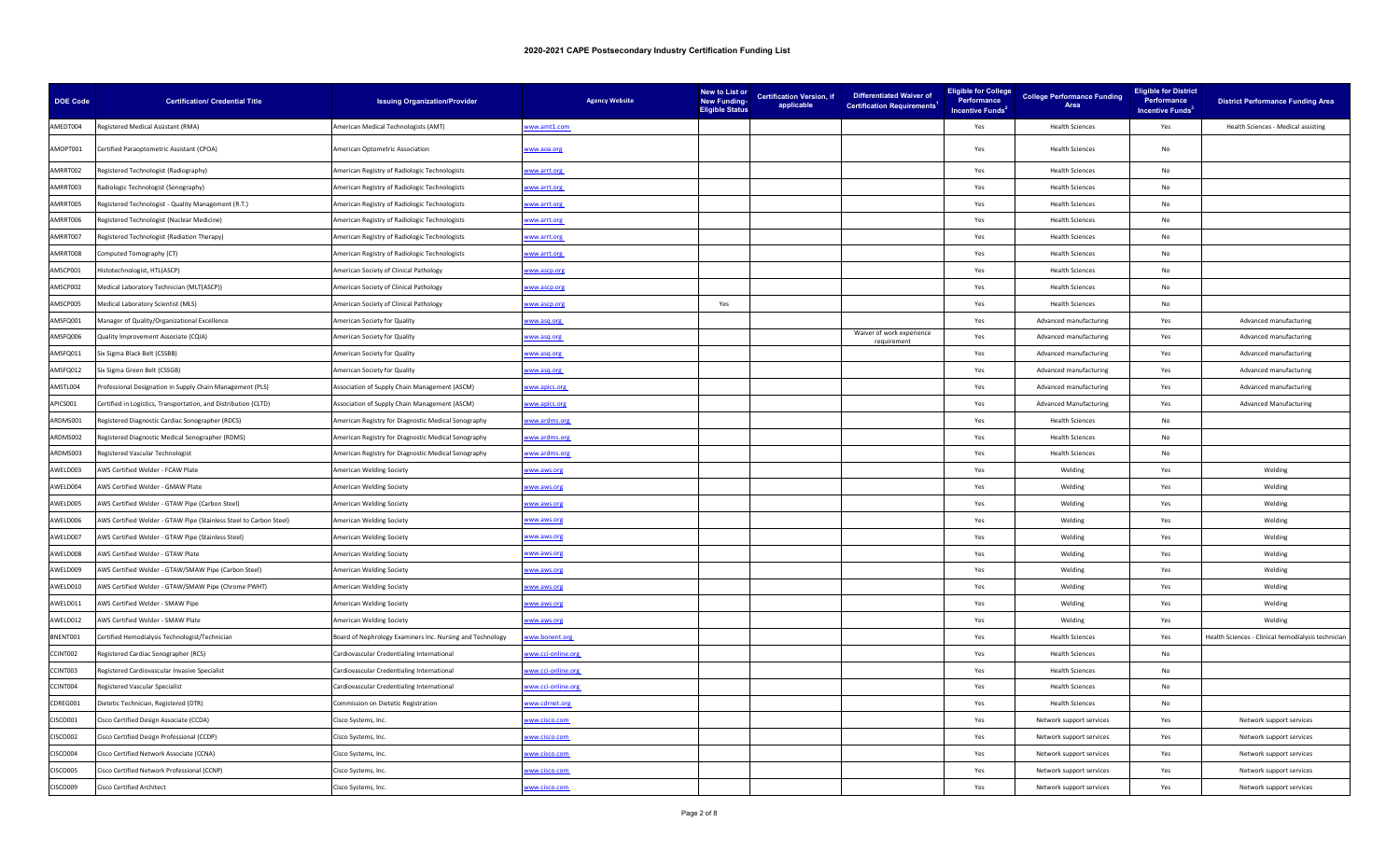| <b>DOE Code</b> | <b>Certification/ Credential Title</b>                             | <b>Issuing Organization/Provider</b>                      | <b>Agency Website</b> | New to List or<br><b>New Funding-</b><br><b>Eligible Status</b> | <b>Certification Version, if</b><br>applicable | <b>Differentiated Waiver of</b><br><b>Certification Requirements<sup>1</sup></b> | <b>Eligible for College</b><br>Performance<br>Incentive Funds <sup>2</sup> | <b>College Performance Funding</b><br>Area | <b>Eligible for District</b><br>Performance<br>Incentive Funds <sup>3</sup> | <b>District Performance Funding Area</b>           |
|-----------------|--------------------------------------------------------------------|-----------------------------------------------------------|-----------------------|-----------------------------------------------------------------|------------------------------------------------|----------------------------------------------------------------------------------|----------------------------------------------------------------------------|--------------------------------------------|-----------------------------------------------------------------------------|----------------------------------------------------|
| AMEDT004        | Registered Medical Assistant (RMA)                                 | American Medical Technologists (AMT)                      | ww.amt1.com           |                                                                 |                                                |                                                                                  | Yes                                                                        | <b>Health Sciences</b>                     | Yes                                                                         | Health Sciences - Medical assisting                |
| AMOPT001        | Certified Paraoptometric Assistant (CPOA)                          | American Optometric Association                           | ww.aoa.org            |                                                                 |                                                |                                                                                  | Yes                                                                        | <b>Health Sciences</b>                     | No                                                                          |                                                    |
| AMRRT002        | Registered Technologist (Radiography)                              | American Registry of Radiologic Technologists             | ww.arrt.org           |                                                                 |                                                |                                                                                  | Yes                                                                        | <b>Health Sciences</b>                     | No                                                                          |                                                    |
| AMRRT003        | Radiologic Technologist (Sonography)                               | American Registry of Radiologic Technologists             | ww.arrt.org           |                                                                 |                                                |                                                                                  | Yes                                                                        | <b>Health Sciences</b>                     | No                                                                          |                                                    |
| AMRRT005        | Registered Technologist - Quality Management (R.T.)                | American Registry of Radiologic Technologists             | ww.arrt.org           |                                                                 |                                                |                                                                                  | Yes                                                                        | <b>Health Sciences</b>                     | No                                                                          |                                                    |
| AMRRT006        | Registered Technologist (Nuclear Medicine)                         | American Registry of Radiologic Technologists             | ww.arrt.org           |                                                                 |                                                |                                                                                  | Yes                                                                        | <b>Health Sciences</b>                     | No                                                                          |                                                    |
| AMRRT007        | Registered Technologist (Radiation Therapy)                        | American Registry of Radiologic Technologists             | ww.arrt.org           |                                                                 |                                                |                                                                                  | Yes                                                                        | <b>Health Sciences</b>                     | No                                                                          |                                                    |
| AMRRT008        | Computed Tomography (CT)                                           | American Registry of Radiologic Technologists             | ww.arrt.org           |                                                                 |                                                |                                                                                  | Yes                                                                        | <b>Health Sciences</b>                     | No                                                                          |                                                    |
| AMSCP001        | listotechnologist, HTL(ASCP)                                       | <b>Imerican Society of Clinical Pathology</b>             | ww.ascp.org           |                                                                 |                                                |                                                                                  | Yes                                                                        | <b>Health Sciences</b>                     | No                                                                          |                                                    |
| AMSCP002        | Medical Laboratory Technician (MLT(ASCP))                          | American Society of Clinical Pathology                    | ww.ascp.org           |                                                                 |                                                |                                                                                  | Yes                                                                        | <b>Health Sciences</b>                     | No                                                                          |                                                    |
| AMSCP005        | Medical Laboratory Scientist (MLS)                                 | American Society of Clinical Pathology                    | ww.ascp.org           | Yes                                                             |                                                |                                                                                  | Yes                                                                        | <b>Health Sciences</b>                     | No                                                                          |                                                    |
| AMSFQ001        | Manager of Quality/Organizational Excellence                       | American Society for Quality                              | ww.asq.org            |                                                                 |                                                |                                                                                  | Yes                                                                        | Advanced manufacturing                     | Yes                                                                         | Advanced manufacturing                             |
| AMSFQ006        | Quality Improvement Associate (CQIA)                               | American Society for Quality                              | ww.asq.org            |                                                                 |                                                | Waiver of work experience                                                        | Yes                                                                        | Advanced manufacturing                     | Yes                                                                         | Advanced manufacturing                             |
| AMSFQ011        | Six Sigma Black Belt (CSSBB)                                       | American Society for Quality                              | www.asq.org           |                                                                 |                                                |                                                                                  | Yes                                                                        | Advanced manufacturing                     | Yes                                                                         | Advanced manufacturing                             |
| AMSFQ012        | Six Sigma Green Belt (CSSGB)                                       | American Society for Quality                              | ww.asq.org            |                                                                 |                                                |                                                                                  | Yes                                                                        | Advanced manufacturing                     | Yes                                                                         | Advanced manufacturing                             |
| AMSTL004        | Professional Designation in Supply Chain Management (PLS)          | Association of Supply Chain Management (ASCM)             | www.apics.org         |                                                                 |                                                |                                                                                  | Yes                                                                        | Advanced manufacturing                     | Yes                                                                         | Advanced manufacturing                             |
| APICS001        | Certified in Logistics, Transportation, and Distribution (CLTD)    | <b>Association of Supply Chain Management (ASCM)</b>      | ww.apics.org          |                                                                 |                                                |                                                                                  | Yes                                                                        | <b>Advanced Manufacturing</b>              | Yes                                                                         | <b>Advanced Manufacturing</b>                      |
| ARDMS001        | Registered Diagnostic Cardiac Sonographer (RDCS)                   | American Registry for Diagnostic Medical Sonography       | www.ardms.org         |                                                                 |                                                |                                                                                  | Yes                                                                        | <b>Health Sciences</b>                     | No                                                                          |                                                    |
| ARDMS002        | Registered Diagnostic Medical Sonographer (RDMS)                   | American Registry for Diagnostic Medical Sonography       | ww.ardms.org          |                                                                 |                                                |                                                                                  | Yes                                                                        | <b>Health Sciences</b>                     | No                                                                          |                                                    |
| ARDMS003        | Registered Vascular Technologist                                   | American Registry for Diagnostic Medical Sonography       | www.ardms.org         |                                                                 |                                                |                                                                                  | Yes                                                                        | <b>Health Sciences</b>                     | No                                                                          |                                                    |
| AWELD003        | AWS Certified Welder - FCAW Plate                                  | American Welding Society                                  | ww.aws.org            |                                                                 |                                                |                                                                                  | Yes                                                                        | Welding                                    | Yes                                                                         | Welding                                            |
| AWELD004        | AWS Certified Welder - GMAW Plate                                  | American Welding Society                                  | www.aws.org           |                                                                 |                                                |                                                                                  | Yes                                                                        | Welding                                    | Yes                                                                         | Welding                                            |
| AWELD005        | AWS Certified Welder - GTAW Pipe (Carbon Steel)                    | American Welding Society                                  | www.aws.org           |                                                                 |                                                |                                                                                  | Yes                                                                        | Welding                                    | Yes                                                                         | Welding                                            |
| AWELD006        | AWS Certified Welder - GTAW Pipe (Stainless Steel to Carbon Steel) | American Welding Society                                  | ww.aws.org            |                                                                 |                                                |                                                                                  | Yes                                                                        | Welding                                    | Yes                                                                         | Welding                                            |
| AWELD007        | AWS Certified Welder - GTAW Pipe (Stainless Steel)                 | American Welding Society                                  | ww.aws.org            |                                                                 |                                                |                                                                                  | Yes                                                                        | Welding                                    | Yes                                                                         | Welding                                            |
| AWELD008        | AWS Certified Welder - GTAW Plate                                  | American Welding Society                                  | www.aws.org           |                                                                 |                                                |                                                                                  | Yes                                                                        | Welding                                    | Yes                                                                         | Welding                                            |
| AWELD009        | AWS Certified Welder - GTAW/SMAW Pipe (Carbon Steel)               | American Welding Society                                  | www.aws.org           |                                                                 |                                                |                                                                                  | Yes                                                                        | Welding                                    | Yes                                                                         | Welding                                            |
| AWELD010        | AWS Certified Welder - GTAW/SMAW Pipe (Chrome PWHT)                | American Welding Society                                  | ww.aws.org            |                                                                 |                                                |                                                                                  | Yes                                                                        | Welding                                    | Yes                                                                         | Welding                                            |
| AWELD011        | AWS Certified Welder - SMAW Pipe                                   | American Welding Society                                  | ww.aws.org            |                                                                 |                                                |                                                                                  | Yes                                                                        | Welding                                    | Yes                                                                         | Welding                                            |
| AWELD012        | AWS Certified Welder - SMAW Plate                                  | American Welding Society                                  | www.aws.org           |                                                                 |                                                |                                                                                  | Yes                                                                        | Welding                                    | Yes                                                                         | Welding                                            |
| BNENT001        | Certified Hemodialysis Technologist/Technician                     | Board of Nephrology Examiners Inc. Nursing and Technology | ww.bonent.org         |                                                                 |                                                |                                                                                  | Yes                                                                        | <b>Health Sciences</b>                     | Yes                                                                         | Health Sciences - Clinical hemodialysis techniciar |
| CCINT002        | Registered Cardiac Sonographer (RCS)                               | Cardiovascular Credentialing International                | ww.cci-online.org     |                                                                 |                                                |                                                                                  | Yes                                                                        | <b>Health Sciences</b>                     | No                                                                          |                                                    |
| CCINT003        | Registered Cardiovascular Invasive Specialist                      | Cardiovascular Credentialing International                | ww.cci-online.org     |                                                                 |                                                |                                                                                  | Yes                                                                        | <b>Health Sciences</b>                     | No                                                                          |                                                    |
| CCINT004        | Registered Vascular Specialist                                     | Cardiovascular Credentialing International                | www.cci-online.org    |                                                                 |                                                |                                                                                  | Yes                                                                        | <b>Health Sciences</b>                     | No                                                                          |                                                    |
| CDREG001        | Dietetic Technician, Registered (DTR)                              | Commission on Dietetic Registration                       | ww.cdrnet.org         |                                                                 |                                                |                                                                                  | Yes                                                                        | <b>Health Sciences</b>                     | No                                                                          |                                                    |
| CISCO001        | Cisco Certified Design Associate (CCDA)                            | Cisco Systems, Inc.                                       | ww.cisco.com          |                                                                 |                                                |                                                                                  | Yes                                                                        | Network support services                   | Yes                                                                         | Network support services                           |
| <b>CISCO002</b> | Cisco Certified Design Professional (CCDP)                         | Cisco Systems, Inc.                                       | ww.cisco.com          |                                                                 |                                                |                                                                                  | Yes                                                                        | Network support services                   | Yes                                                                         | Network support services                           |
| CISCO004        | Cisco Certified Network Associate (CCNA)                           | Cisco Systems, Inc.                                       | www.cisco.com         |                                                                 |                                                |                                                                                  | Yes                                                                        | Network support services                   | Yes                                                                         | Network support services                           |
| <b>CISCO005</b> | Cisco Certified Network Professional (CCNP)                        | Cisco Systems, Inc.                                       | ww.cisco.com          |                                                                 |                                                |                                                                                  | Yes                                                                        | Network support services                   | Yes                                                                         | Network support services                           |
| CISCO009        | <b>Cisco Certified Architect</b>                                   | Cisco Systems, Inc.                                       | ww.cisco.com          |                                                                 |                                                |                                                                                  | Yes                                                                        | Network support services                   | Yes                                                                         | Network support services                           |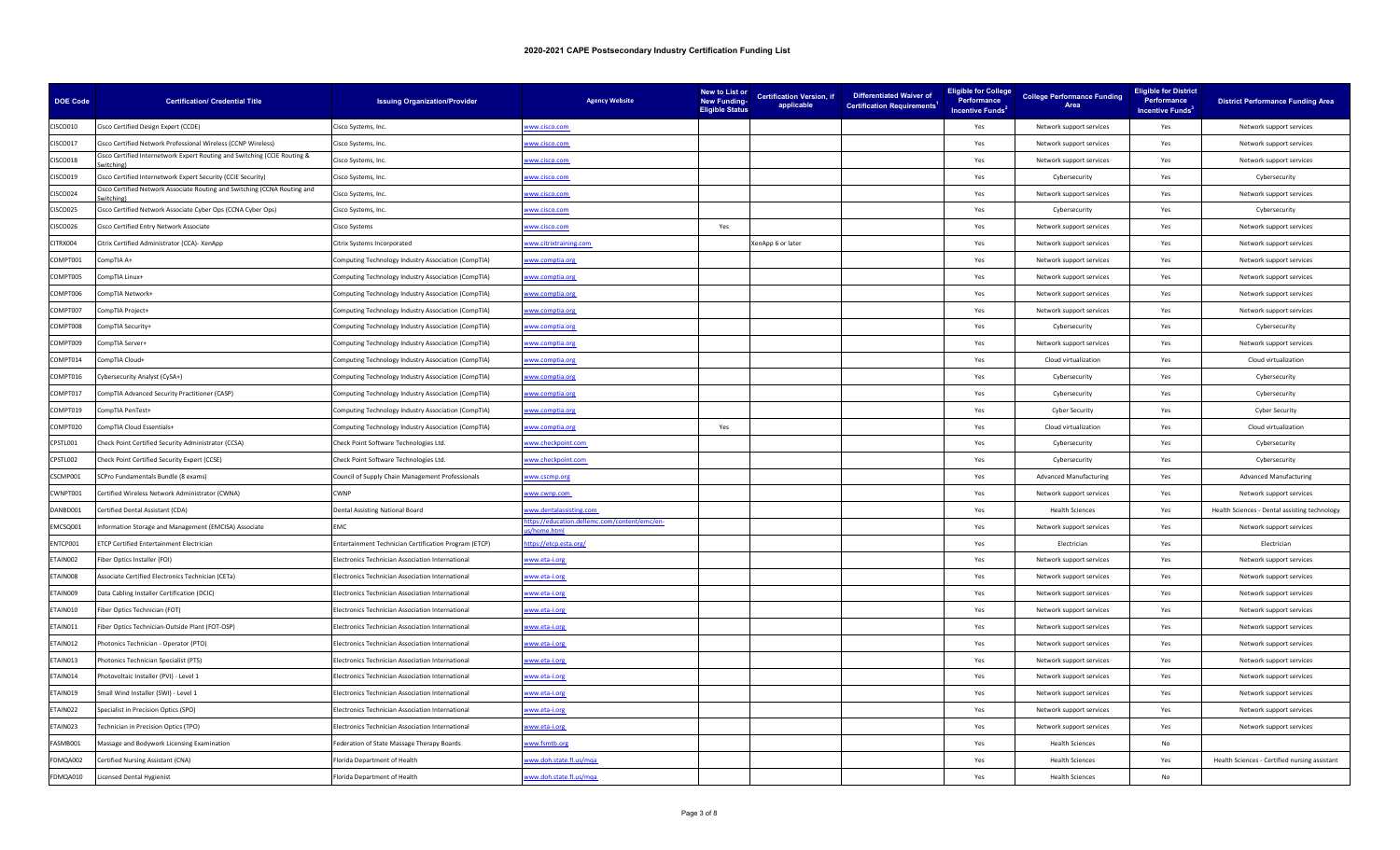| <b>DOE Code</b> | <b>Certification/ Credential Title</b>                                    | <b>Issuing Organization/Provider</b>                  | <b>Agency Website</b>                                     | New to List or<br><b>New Funding-</b><br><b>Eligible Status</b> | <b>Certification Version, if</b><br>applicable | <b>Differentiated Waiver of</b><br><b>Certification Requirements<sup>1</sup></b> | <b>Eligible for College</b><br>Performance<br>Incentive Funds <sup>2</sup> | <b>College Performance Funding</b><br>Area | <b>Eligible for District</b><br>Performance<br>Incentive Funds <sup>3</sup> | <b>District Performance Funding Area</b>      |
|-----------------|---------------------------------------------------------------------------|-------------------------------------------------------|-----------------------------------------------------------|-----------------------------------------------------------------|------------------------------------------------|----------------------------------------------------------------------------------|----------------------------------------------------------------------------|--------------------------------------------|-----------------------------------------------------------------------------|-----------------------------------------------|
| <b>CISCO010</b> | Cisco Certified Design Expert (CCDE)                                      | Cisco Systems, Inc.                                   | www.cisco.com                                             |                                                                 |                                                |                                                                                  | Yes                                                                        | Network support services                   | Yes                                                                         | Network support services                      |
| CISCO017        | Cisco Certified Network Professional Wireless (CCNP Wireless)             | Cisco Systems, Inc.                                   | ww.cisco.com                                              |                                                                 |                                                |                                                                                  | Yes                                                                        | Network support services                   | Yes                                                                         | Network support services                      |
| CISCO018        | isco Certified Internetwork Expert Routing and Switching (CCIE Routing &  | Cisco Systems, Inc.                                   | ww.cisco.com                                              |                                                                 |                                                |                                                                                  | Yes                                                                        | Network support services                   | Yes                                                                         | Network support services                      |
| CISCO019        | Cisco Certified Internetwork Expert Security (CCIE Security)              | Cisco Systems, Inc.                                   | ww.cisco.com                                              |                                                                 |                                                |                                                                                  | Yes                                                                        | Cybersecurity                              | Yes                                                                         | Cybersecurity                                 |
| <b>CISCO024</b> | Cisco Certified Network Associate Routing and Switching (CCNA Routing and | Cisco Systems, Inc.                                   | ww.cisco.com                                              |                                                                 |                                                |                                                                                  | Yes                                                                        | Network support services                   | Yes                                                                         | Network support services                      |
| CISCO025        | Cisco Certified Network Associate Cyber Ops (CCNA Cyber Ops)              | Cisco Systems, Inc.                                   | www.cisco.com                                             |                                                                 |                                                |                                                                                  | Yes                                                                        | Cybersecurity                              | Yes                                                                         | Cybersecurity                                 |
| CISCO026        | Cisco Certified Entry Network Associate                                   | Cisco Systems                                         | ww.cisco.com                                              | Yes                                                             |                                                |                                                                                  | Yes                                                                        | Network support services                   | Yes                                                                         | Network support services                      |
| CITRX004        | Citrix Certified Administrator (CCA)- XenApp                              | Citrix Systems Incorporated                           | www.citrixtraining.com                                    |                                                                 | XenApp 6 or later                              |                                                                                  | Yes                                                                        | Network support services                   | Yes                                                                         | Network support services                      |
| COMPT001        | +0 ompTIA                                                                 | omputing Technology Industry Association (CompTIA)    | ww.comptia.org                                            |                                                                 |                                                |                                                                                  | Yes                                                                        | Network support services                   | Yes                                                                         | Network support services                      |
| COMPT005        | CompTIA Linux+                                                            | Computing Technology Industry Association (CompTIA)   | ww.comptia.org                                            |                                                                 |                                                |                                                                                  | Yes                                                                        | Network support services                   | Yes                                                                         | Network support services                      |
| COMPT006        | CompTIA Network+                                                          | Computing Technology Industry Association (CompTIA)   | ww.comptia.org                                            |                                                                 |                                                |                                                                                  | Yes                                                                        | Network support services                   | Yes                                                                         | Network support services                      |
| COMPT007        | CompTIA Project+                                                          | Computing Technology Industry Association (CompTIA)   | www.comptia.org                                           |                                                                 |                                                |                                                                                  | Yes                                                                        | Network support services                   | Yes                                                                         | Network support services                      |
| COMPT008        | CompTIA Security+                                                         | Computing Technology Industry Association (CompTIA)   | www.comptia.org                                           |                                                                 |                                                |                                                                                  | Yes                                                                        | Cybersecurity                              | Yes                                                                         | Cybersecurity                                 |
| COMPT009        | ompTIA Server+                                                            | omputing Technology Industry Association (CompTIA)    | ww.comptia.org                                            |                                                                 |                                                |                                                                                  | Yes                                                                        | Network support services                   | Yes                                                                         | Network support services                      |
| COMPT014        | CompTIA Cloud+                                                            | Computing Technology Industry Association (CompTIA)   | www.comptia.org                                           |                                                                 |                                                |                                                                                  | Yes                                                                        | Cloud virtualization                       | Yes                                                                         | Cloud virtualization                          |
| COMPT016        | Cybersecurity Analyst (CySA+)                                             | Computing Technology Industry Association (CompTIA)   | ww.comptia.org                                            |                                                                 |                                                |                                                                                  | Yes                                                                        | Cybersecurity                              | Yes                                                                         | Cybersecurity                                 |
| COMPT017        | CompTIA Advanced Security Practitioner (CASP)                             | Computing Technology Industry Association (CompTIA)   | www.comptia.org                                           |                                                                 |                                                |                                                                                  | Yes                                                                        | Cybersecurity                              | Yes                                                                         | Cybersecurity                                 |
| COMPT019        | ompTIA PenTest+                                                           | Computing Technology Industry Association (CompTIA)   | ww.comptia.org                                            |                                                                 |                                                |                                                                                  | Yes                                                                        | <b>Cyber Security</b>                      | Yes                                                                         | <b>Cyber Security</b>                         |
| COMPT020        | CompTIA Cloud Essentials+                                                 | Computing Technology Industry Association (CompTIA)   | ww.comptia.org                                            | Yes                                                             |                                                |                                                                                  | Yes                                                                        | Cloud virtualization                       | Yes                                                                         | Cloud virtualization                          |
| CPSTL001        | Check Point Certified Security Administrator (CCSA)                       | Check Point Software Technologies Ltd.                | ww.checkpoint.com                                         |                                                                 |                                                |                                                                                  | Yes                                                                        | Cybersecurity                              | Yes                                                                         | Cybersecurity                                 |
| CPSTL002        | Check Point Certified Security Expert (CCSE)                              | Check Point Software Technologies Ltd.                | ww.checkpoint.com                                         |                                                                 |                                                |                                                                                  | Yes                                                                        | Cybersecurity                              | Yes                                                                         | Cybersecurity                                 |
| CSCMP001        | SCPro Fundamentals Bundle (8 exams)                                       | Council of Supply Chain Management Professionals      | www.cscmp.org                                             |                                                                 |                                                |                                                                                  | Yes                                                                        | <b>Advanced Manufacturing</b>              | Yes                                                                         | <b>Advanced Manufacturing</b>                 |
| CWNPT001        | Certified Wireless Network Administrator (CWNA)                           | CWNP                                                  | ww.cwnp.com                                               |                                                                 |                                                |                                                                                  | Yes                                                                        | Network support services                   | Yes                                                                         | Network support services                      |
| DANBD001        | Certified Dental Assistant (CDA)                                          | Dental Assisting National Board                       | ww.dentalassisting.com                                    |                                                                 |                                                |                                                                                  | Yes                                                                        | <b>Health Sciences</b>                     | Yes                                                                         | Health Sciences - Dental assisting technology |
| EMCSQ001        | nformation Storage and Management (EMCISA) Associate                      | FMC.                                                  | tps://education.dellemc.com/content/emc/en-<br>/home.html |                                                                 |                                                |                                                                                  | Yes                                                                        | Network support services                   | Yes                                                                         | Network support services                      |
| ENTCP001        | <b>ETCP Certified Entertainment Electrician</b>                           | Entertainment Technician Certification Program (ETCP) | ttps://etcp.esta.org/                                     |                                                                 |                                                |                                                                                  | Yes                                                                        | Electrician                                | Yes                                                                         | Electrician                                   |
| ETAIN002        | Fiber Optics Installer (FOI)                                              | lectronics Technician Association International       | ww.eta-i.org                                              |                                                                 |                                                |                                                                                  | Yes                                                                        | Network support services                   | Yes                                                                         | Network support services                      |
| ETAIN008        | Associate Certified Electronics Technician (CETa)                         | Electronics Technician Association International      | www.eta-i.org                                             |                                                                 |                                                |                                                                                  | Yes                                                                        | Network support services                   | Yes                                                                         | Network support services                      |
| ETAIN009        | Data Cabling Installer Certification (DCIC)                               | lectronics Technician Association International       | ww.eta-i.org                                              |                                                                 |                                                |                                                                                  | Yes                                                                        | Network support services                   | Yes                                                                         | Network support services                      |
| ETAIN010        | Fiber Optics Technician (FOT)                                             | Electronics Technician Association International      | vww.eta-i.org                                             |                                                                 |                                                |                                                                                  | Yes                                                                        | Network support services                   | Yes                                                                         | Network support services                      |
| ETAIN011        | iber Optics Technician-Outside Plant (FOT-OSP)                            | lectronics Technician Association International       | ww.eta-i.org                                              |                                                                 |                                                |                                                                                  | Yes                                                                        | Network support services                   | Yes                                                                         | Network support services                      |
| ETAIN012        | Photonics Technician - Operator (PTO)                                     | Electronics Technician Association International      | ww.eta-i.org                                              |                                                                 |                                                |                                                                                  | Yes                                                                        | Network support services                   | Yes                                                                         | Network support services                      |
| ETAIN013        | Photonics Technician Specialist (PTS)                                     | Electronics Technician Association International      | ww.eta-i.org                                              |                                                                 |                                                |                                                                                  | Yes                                                                        | Network support services                   | Yes                                                                         | Network support services                      |
| ETAIN014        | hotovoltaic Installer (PVI) - Level 1                                     | Electronics Technician Association International      | www.eta-i.org                                             |                                                                 |                                                |                                                                                  | Yes                                                                        | Network support services                   | Yes                                                                         | Network support services                      |
| ETAIN019        | Small Wind Installer (SWI) - Level 1                                      | Electronics Technician Association International      | ww.eta-i.org                                              |                                                                 |                                                |                                                                                  | Yes                                                                        | Network support services                   | Yes                                                                         | Network support services                      |
| ETAIN022        | Specialist in Precision Optics (SPO)                                      | Electronics Technician Association International      | ww.eta-i.org                                              |                                                                 |                                                |                                                                                  | Yes                                                                        | Network support services                   | Yes                                                                         | Network support services                      |
| ETAIN023        | Technician in Precision Optics (TPO)                                      | Electronics Technician Association International      | www.eta-i.org                                             |                                                                 |                                                |                                                                                  | Yes                                                                        | Network support services                   | Yes                                                                         | Network support services                      |
| FASMB001        | Massage and Bodywork Licensing Examination                                | Federation of State Massage Therapy Boards            | ww.fsmtb.org                                              |                                                                 |                                                |                                                                                  | Yes                                                                        | <b>Health Sciences</b>                     | No                                                                          |                                               |
| FDMQA002        | Certified Nursing Assistant (CNA)                                         | Florida Department of Health                          | vww.doh.state.fl.us/mqa                                   |                                                                 |                                                |                                                                                  | Yes                                                                        | <b>Health Sciences</b>                     | Yes                                                                         | Health Sciences - Certified nursing assistant |
| FDMQA010        | <b>Licensed Dental Hygienist</b>                                          | Florida Department of Health                          | www.doh.state.fl.us/mga                                   |                                                                 |                                                |                                                                                  | Yes                                                                        | <b>Health Sciences</b>                     | No                                                                          |                                               |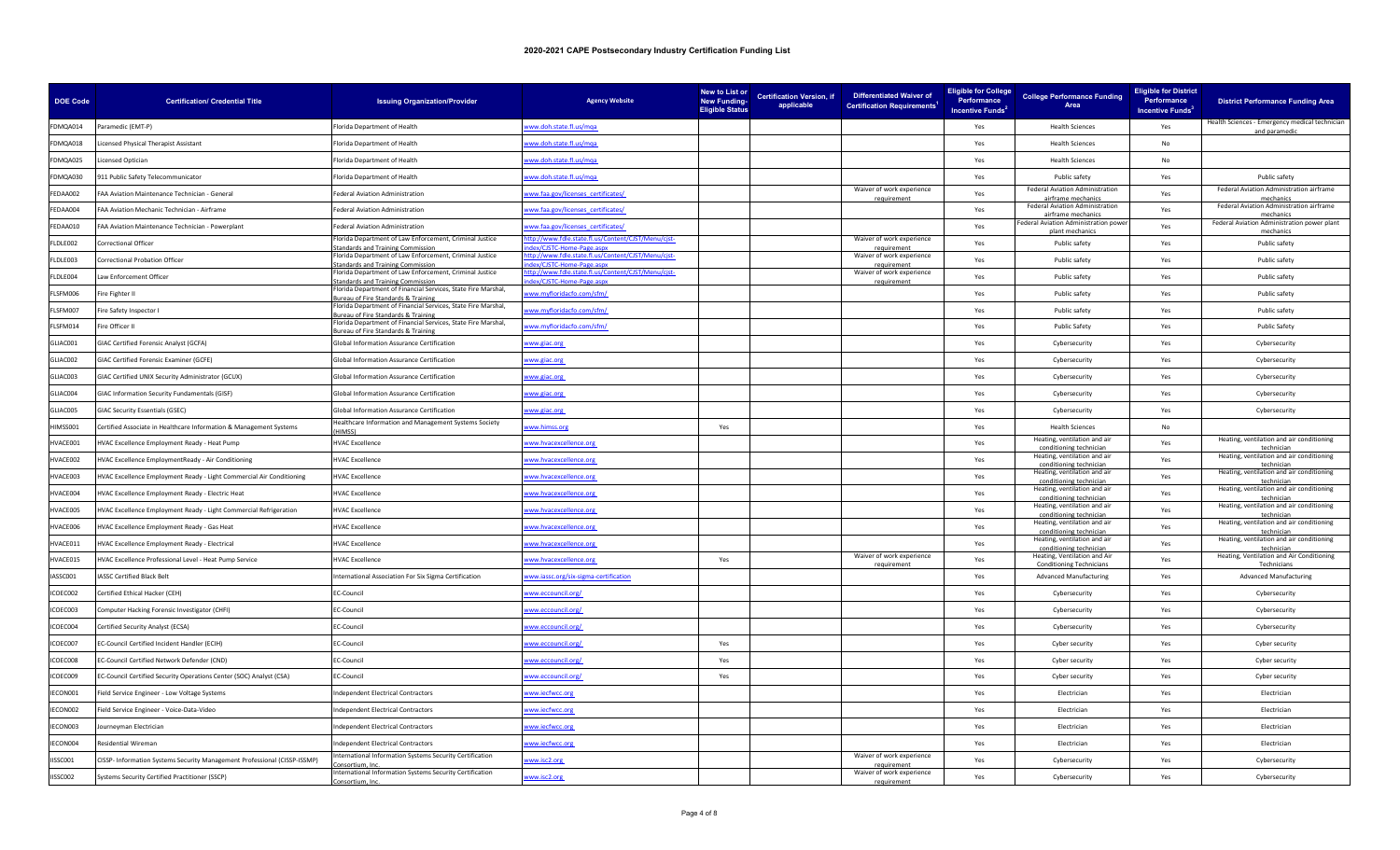| <b>DOE Code</b> | <b>Certification/ Credential Title</b>                                    | <b>Issuing Organization/Provider</b>                                                               | <b>Agency Website</b>                                                         | New to List or<br><b>New Funding-</b><br><b>Eligible Status</b> | <b>Certification Version, if</b><br>applicable | Differentiated Waiver of<br><b>Certification Requirements<sup>1</sup></b> | <b>Eligible for College</b><br>Performance<br>Incentive Funds <sup>2</sup> | <b>College Performance Funding</b><br>Area              | <b>Eligible for District</b><br>Performance<br>Incentive Funds <sup>3</sup> | <b>District Performance Funding Area</b>                        |
|-----------------|---------------------------------------------------------------------------|----------------------------------------------------------------------------------------------------|-------------------------------------------------------------------------------|-----------------------------------------------------------------|------------------------------------------------|---------------------------------------------------------------------------|----------------------------------------------------------------------------|---------------------------------------------------------|-----------------------------------------------------------------------------|-----------------------------------------------------------------|
| FDMQA014        | Paramedic (EMT-P)                                                         | lorida Department of Health                                                                        | ww.doh.state.fl.us/mga                                                        |                                                                 |                                                |                                                                           | Yes                                                                        | <b>Health Sciences</b>                                  | Yes                                                                         | Health Sciences - Emergency medical technician<br>and paramedio |
| FDMQA018        | icensed Physical Therapist Assistant                                      | Florida Department of Health                                                                       | ww.doh.state.fl.us/mga                                                        |                                                                 |                                                |                                                                           | Yes                                                                        | <b>Health Sciences</b>                                  | No                                                                          |                                                                 |
| FDMQA025        | censed Optician                                                           | lorida Department of Health                                                                        | ww.doh.state.fl.us/mga                                                        |                                                                 |                                                |                                                                           | Yes                                                                        | <b>Health Sciences</b>                                  | No                                                                          |                                                                 |
| FDMQA030        | 911 Public Safety Telecommunicator                                        | Florida Department of Health                                                                       | www.doh.state.fl.us/mga                                                       |                                                                 |                                                |                                                                           | Yes                                                                        | Public safety                                           | Yes                                                                         | Public safety                                                   |
| FEDAA002        | FAA Aviation Maintenance Technician - General                             | ederal Aviation Administration                                                                     | ww.faa.gov/licenses_certificates/                                             |                                                                 |                                                | Waiver of work experience                                                 | Yes                                                                        | Federal Aviation Administration<br>irframe mechar       | Yes                                                                         | Federal Aviation Administration airframe                        |
| FEDAA004        | FAA Aviation Mechanic Technician - Airframe                               | ederal Aviation Administration                                                                     | www.faa.gov/licenses_certificates/                                            |                                                                 |                                                |                                                                           | Yes                                                                        | Federal Aviation Administration<br>airframe mechanics   | Yes                                                                         | Federal Aviation Administration airframe<br>mechanics           |
| FEDAA010        | FAA Aviation Maintenance Technician - Powerplant                          | ederal Aviation Administration                                                                     | www.faa.gov/licenses certificates/                                            |                                                                 |                                                |                                                                           | Yes                                                                        | Federal Aviation Administration powe<br>ılant mechaı    | Yes                                                                         | Federal Aviation Administration power plant<br>mechani          |
| FLDLE002        | Correctional Officer                                                      | lorida Department of Law Enforcement, Criminal Justice<br>andards and Training Commission          | tp://www.fdle.state.fl.us/Content/CJST/Menu/cjst-<br>lex/CJSTC-Home-Page.aspx |                                                                 |                                                | Waiver of work experience<br>requirement                                  | Yes                                                                        | Public safety                                           | Yes                                                                         | Public safety                                                   |
| FLDLE003        | Correctional Probation Officer                                            | lorida Department of Law Enforcement, Criminal Justice<br>andards and Training Commission          | tp://www.fdle.state.fl.us/Content/CJST/Menu/cjst-<br>dex/CJSTC-Home-Page.aspx |                                                                 |                                                | Waiver of work experience<br>requirement                                  | Yes                                                                        | Public safety                                           | Yes                                                                         | Public safety                                                   |
| FLDLE004        | Law Enforcement Officer                                                   | Florida Department of Law Enforcement, Criminal Justice<br>andards and Training Commission         | tp://www.fdle.state.fl.us/Content/CJST/Menu/cjst-<br>lex/CISTC-Home-Page.aspx |                                                                 |                                                | Waiver of work experience<br>requirement                                  | Yes                                                                        | Public safety                                           | Yes                                                                         | Public safety                                                   |
| FLSEM006        | Fire Fighter II                                                           | lorida Department of Financial Services, State Fire Marshal,<br>reau of Fire Standards & Training  | www.myfloridacfo.com/sfm/                                                     |                                                                 |                                                |                                                                           | Yes                                                                        | Public safety                                           | Yes                                                                         | Public safety                                                   |
| FLSEM007        | Fire Safety Inspector I                                                   | Florida Department of Financial Services, State Fire Marshal,<br>reau of Fire Standards & Training | ww.myfloridacfo.com/sfm/                                                      |                                                                 |                                                |                                                                           | Yes                                                                        | Public safety                                           | Yes                                                                         | Public safety                                                   |
| FLSFM014        | Fire Officer II                                                           | lorida Department of Financial Services, State Fire Marshal,<br>reau of Fire Standards & Training  | ww.myfloridacfo.com/sfm/                                                      |                                                                 |                                                |                                                                           | Yes                                                                        | <b>Public Safety</b>                                    | Yes                                                                         | Public Safety                                                   |
| GLIAC001        | GIAC Certified Forensic Analyst (GCFA)                                    | Global Information Assurance Certification                                                         | ww.giac.org                                                                   |                                                                 |                                                |                                                                           | Yes                                                                        | Cybersecurity                                           | Yes                                                                         | Cybersecurity                                                   |
| GLIAC002        | GIAC Certified Forensic Examiner (GCFE)                                   | <b>Global Information Assurance Certification</b>                                                  | www.giac.org                                                                  |                                                                 |                                                |                                                                           | Yes                                                                        | Cybersecurity                                           | Yes                                                                         | Cybersecurity                                                   |
| GLIAC003        | GIAC Certified UNIX Security Administrator (GCUX)                         | Global Information Assurance Certification                                                         | www.giac.org                                                                  |                                                                 |                                                |                                                                           | Yes                                                                        | Cybersecurity                                           | Yes                                                                         | Cybersecurity                                                   |
| GLIAC004        | GIAC Information Security Fundamentals (GISF)                             | <b>Global Information Assurance Certification</b>                                                  | www.giac.org                                                                  |                                                                 |                                                |                                                                           | Yes                                                                        | Cybersecurity                                           | Yes                                                                         | Cybersecurity                                                   |
| GLIAC005        | GIAC Security Essentials (GSEC)                                           | Global Information Assurance Certification                                                         | ww.giac.org                                                                   |                                                                 |                                                |                                                                           | Yes                                                                        | Cybersecurity                                           | Yes                                                                         | Cybersecurity                                                   |
| HIMSS001        | Certified Associate in Healthcare Information & Management Systems        | Healthcare Information and Management Systems Society<br><b>IIMSS)</b>                             | www.himss.org                                                                 | Yes                                                             |                                                |                                                                           | Yes                                                                        | <b>Health Sciences</b>                                  | No                                                                          |                                                                 |
| HVACE001        | HVAC Excellence Employment Ready - Heat Pump                              | <b>HVAC Excellence</b>                                                                             | www.hvacexcellence.org                                                        |                                                                 |                                                |                                                                           | Yes                                                                        | Heating, ventilation and air<br>conditioning technicial | Yes                                                                         | Heating, ventilation and air conditioning<br>technicia          |
| HVACE002        | HVAC Excellence EmploymentReady - Air Conditioning                        | <b>HVAC Excellence</b>                                                                             | www.hvacexcellence.org                                                        |                                                                 |                                                |                                                                           | Yes                                                                        | Heating, ventilation and air<br>conditioning technician | Yes                                                                         | Heating, ventilation and air conditioning<br>technician         |
| HVACE003        | HVAC Excellence Employment Ready - Light Commercial Air Conditioning      | <b>HVAC Excellence</b>                                                                             | www.hvacexcellence.org                                                        |                                                                 |                                                |                                                                           | Yes                                                                        | Heating, ventilation and air<br>conditioning technicial | Yes                                                                         | Heating, ventilation and air conditioning<br>technician         |
| HVACE004        | HVAC Excellence Employment Ready - Electric Heat                          | <b>HVAC Excellence</b>                                                                             | ww.hvacexcellence.org                                                         |                                                                 |                                                |                                                                           | Yes                                                                        | Heating, ventilation and air<br>conditioning technicial | Yes                                                                         | Heating, ventilation and air conditioning<br>technician         |
| VACE005         | HVAC Excellence Employment Ready - Light Commercial Refrigeration         | <b>HVAC Excellence</b>                                                                             | ww.hvacexcellence.org                                                         |                                                                 |                                                |                                                                           | Yes                                                                        | Heating, ventilation and air<br>conditioning technician | Yes                                                                         | Heating, ventilation and air conditioning<br>technician         |
| <b>IVACE006</b> | HVAC Excellence Employment Ready - Gas Heat                               | <b>HVAC Excellence</b>                                                                             | ww.hvacexcellence.org                                                         |                                                                 |                                                |                                                                           | Yes                                                                        | Heating, ventilation and air<br>conditioning technicia  | Yes                                                                         | Heating, ventilation and air conditioning                       |
| IVACE011        | HVAC Excellence Employment Ready - Electrical                             | <b>HVAC Excellence</b>                                                                             | www.hvacexcellence.org                                                        |                                                                 |                                                |                                                                           | Yes                                                                        | Heating, ventilation and air<br>conditioning technician | Yes                                                                         | Heating, ventilation and air conditioning<br>technicial         |
| IVACE015        | HVAC Excellence Professional Level - Heat Pump Service                    | <b>HVAC Excellence</b>                                                                             | www.hvacexcellence.org                                                        | Yes                                                             |                                                | Waiver of work experience                                                 | Yes                                                                        | Heating, Ventilation and Air<br>Conditioning Techni     | Yes                                                                         | Heating, Ventilation and Air Conditioning<br>Technicis          |
| ASSC001         | IASSC Certified Black Belt                                                | nternational Association For Six Sigma Certification                                               | www.iassc.org/six-sigma-certification                                         |                                                                 |                                                |                                                                           | Yes                                                                        | <b>Advanced Manufacturing</b>                           | Yes                                                                         | <b>Advanced Manufacturing</b>                                   |
| ICOEC002        | Certified Ethical Hacker (CEH)                                            | C-Council                                                                                          | www.eccouncil.org/                                                            |                                                                 |                                                |                                                                           | Yes                                                                        | Cybersecurity                                           | Yes                                                                         | Cybersecurity                                                   |
| ICOEC003        | Computer Hacking Forensic Investigator (CHFI)                             | EC-Council                                                                                         | www.eccouncil.org/                                                            |                                                                 |                                                |                                                                           | Yes                                                                        | Cybersecurity                                           | Yes                                                                         | Cybersecurity                                                   |
| ICOEC004        | Certified Security Analyst (ECSA)                                         | EC-Council                                                                                         | www.eccouncil.org/                                                            |                                                                 |                                                |                                                                           | Yes                                                                        | Cybersecurity                                           | Yes                                                                         | Cybersecurity                                                   |
| ICOEC007        | EC-Council Certified Incident Handler (ECIH)                              | EC-Council                                                                                         | www.eccouncil.org/                                                            | Yes                                                             |                                                |                                                                           | Yes                                                                        | Cyber security                                          | Yes                                                                         | Cyber security                                                  |
| ICOEC008        | EC-Council Certified Network Defender (CND)                               | EC-Council                                                                                         | ww.eccouncil.org/                                                             | Yes                                                             |                                                |                                                                           | Yes                                                                        | Cyber security                                          | Yes                                                                         | Cyber security                                                  |
| ICOEC009        | EC-Council Certified Security Operations Center (SOC) Analyst (CSA)       | <b>EC-Council</b>                                                                                  | www.eccouncil.org/                                                            | Yes                                                             |                                                |                                                                           | Yes                                                                        | Cyber security                                          | Yes                                                                         | Cyber security                                                  |
| ECON001         | Field Service Engineer - Low Voltage Systems                              | ndependent Electrical Contractors                                                                  | www.iecfwcc.org                                                               |                                                                 |                                                |                                                                           | Yes                                                                        | Electrician                                             | Yes                                                                         | Electrician                                                     |
| ECON002         | Field Service Engineer - Voice-Data-Video                                 | ndependent Electrical Contractors                                                                  | ww.iecfwcc.org                                                                |                                                                 |                                                |                                                                           | Yes                                                                        | Electrician                                             | Yes                                                                         | Electrician                                                     |
| ECON003         | Journeyman Electrician                                                    | ndependent Electrical Contractors                                                                  | www.iecfwcc.org                                                               |                                                                 |                                                |                                                                           | Yes                                                                        | Electrician                                             | Yes                                                                         | Electrician                                                     |
| IECON004        | Residential Wireman                                                       | ndependent Electrical Contractors                                                                  | www.iecfwcc.org                                                               |                                                                 |                                                |                                                                           | Yes                                                                        | Electrician                                             | Yes                                                                         | Electrician                                                     |
| IISSC001        | CISSP- Information Systems Security Management Professional (CISSP-ISSMP) | nternational Information Systems Security Certification<br>nsortium, Inc                           | www.isc2.org                                                                  |                                                                 |                                                | Waiver of work experience<br>requirement                                  | Yes                                                                        | Cybersecurity                                           | Yes                                                                         | Cybersecurity                                                   |
| IISSC002        | Systems Security Certified Practitioner (SSCP)                            | ternational Information Systems Security Certification                                             | www.isc2.org                                                                  |                                                                 |                                                | Waiver of work experience                                                 | Yes                                                                        | Cybersecurity                                           | Yes                                                                         | Cybersecurity                                                   |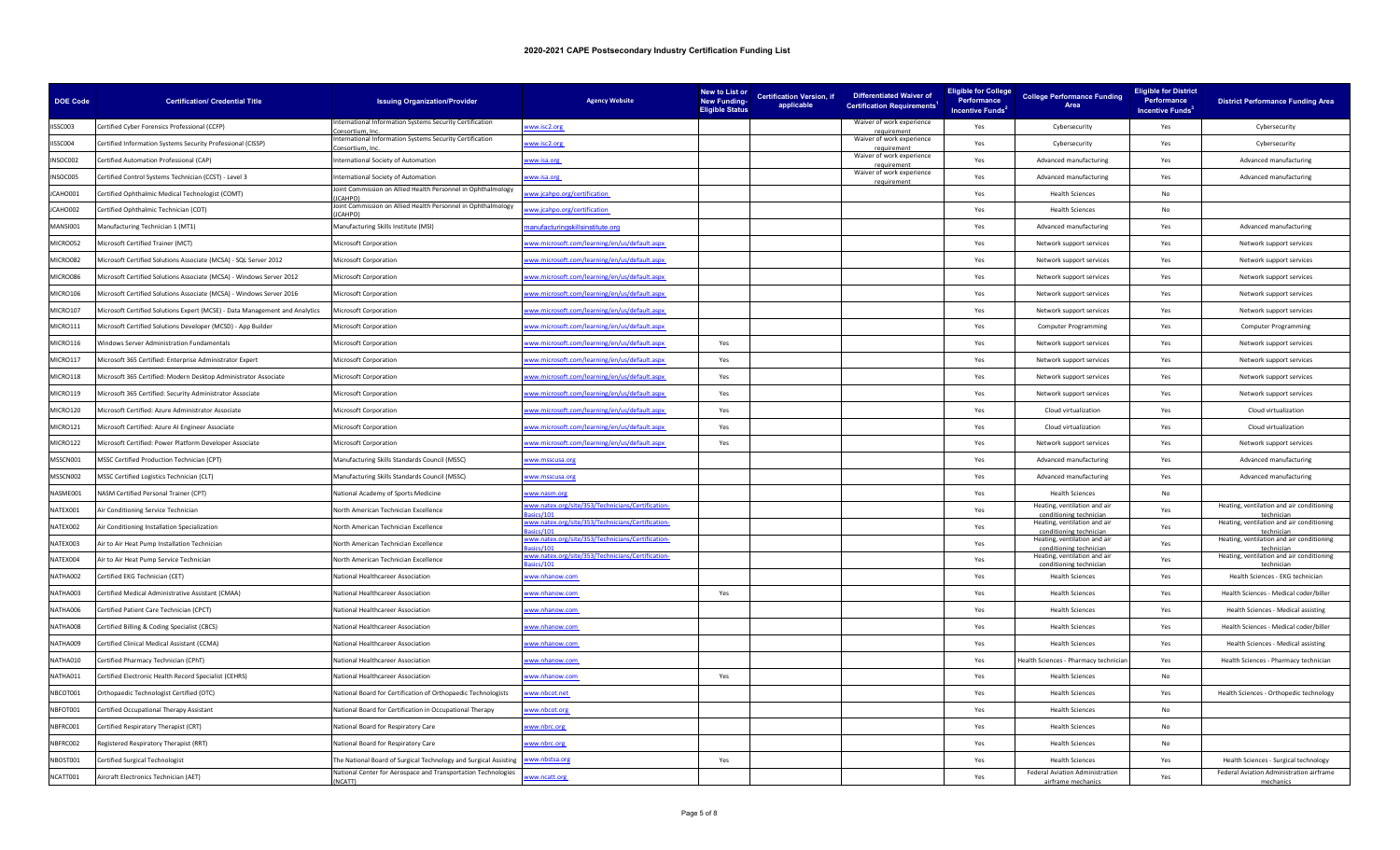| <b>DOE Code</b> | <b>Certification/ Credential Title</b>                                      | <b>Issuing Organization/Provider</b>                                         | <b>Agency Website</b>                                         | New to List or<br><b>New Funding-</b><br><b>Eligible Status</b> | <b>Certification Version, if</b><br>applicable | <b>Differentiated Waiver of</b><br><b>Certification Requirements'</b> | <b>Eligible for College</b><br>Performance<br>Incentive Funds <sup>2</sup> | <b>College Performance Funding</b><br>Area              | <b>Eligible for District</b><br>Performance<br>Incentive Funds <sup>3</sup> | <b>District Performance Funding Area</b>                |
|-----------------|-----------------------------------------------------------------------------|------------------------------------------------------------------------------|---------------------------------------------------------------|-----------------------------------------------------------------|------------------------------------------------|-----------------------------------------------------------------------|----------------------------------------------------------------------------|---------------------------------------------------------|-----------------------------------------------------------------------------|---------------------------------------------------------|
| IISSC003        | Certified Cyber Forensics Professional (CCFP)                               | ternational Information Systems Security Certification<br>ortium Inc         | ww.isc2.org                                                   |                                                                 |                                                | Waiver of work experience                                             | Yes                                                                        | Cybersecurity                                           | Yes                                                                         | Cybersecurity                                           |
| IISSC004        | Certified Information Systems Security Professional (CISSP)                 | nternational Information Systems Security Certification<br>nsortium. In      | ww.isc2.org                                                   |                                                                 |                                                | Waiver of work experience<br>requirement                              | Yes                                                                        | Cybersecurity                                           | Yes                                                                         | Cybersecurity                                           |
| INSOC002        | Certified Automation Professional (CAP)                                     | nternational Society of Automation                                           | ww.isa.org                                                    |                                                                 |                                                | Waiver of work experience                                             | Yes                                                                        | Advanced manufacturing                                  | Yes                                                                         | Advanced manufacturing                                  |
| INSOC005        | Certified Control Systems Technician (CCST) - Level 3                       | International Society of Automation                                          | ww.isa.org                                                    |                                                                 |                                                | Waiver of work experience<br>requirement                              | Yes                                                                        | Advanced manufacturing                                  | Yes                                                                         | Advanced manufacturing                                  |
| JCAHO001        | Certified Ophthalmic Medical Technologist (COMT)                            | Joint Commission on Allied Health Personnel in Ophthalmology<br>CAHPO        | ww.jcahpo.org/certification                                   |                                                                 |                                                |                                                                       | Yes                                                                        | <b>Health Sciences</b>                                  | No                                                                          |                                                         |
| ICAHO002        | Certified Ophthalmic Technician (COT)                                       | Joint Commission on Allied Health Personnel in Ophthalmology<br><b>CAHPO</b> | ww.jcahpo.org/certification                                   |                                                                 |                                                |                                                                       | Yes                                                                        | <b>Health Sciences</b>                                  | No                                                                          |                                                         |
| <b>MANSI001</b> | Manufacturing Technician 1 (MT1)                                            | Manufacturing Skills Institute (MSI)                                         | anufacturingskillsinstitute.org                               |                                                                 |                                                |                                                                       | Yes                                                                        | Advanced manufacturing                                  | Yes                                                                         | Advanced manufacturing                                  |
| <b>MICRO052</b> | Microsoft Certified Trainer (MCT)                                           | Microsoft Corporation                                                        | ww.microsoft.com/learning/en/us/default.aspx                  |                                                                 |                                                |                                                                       | Yes                                                                        | Network support services                                | Yes                                                                         | Network support services                                |
| MICRO082        | Microsoft Certified Solutions Associate (MCSA) - SQL Server 2012            | Microsoft Corporation                                                        | ww.microsoft.com/learning/en/us/default.aspx                  |                                                                 |                                                |                                                                       | Yes                                                                        | Network support services                                | Yes                                                                         | Network support services                                |
| MICRO086        | Microsoft Certified Solutions Associate (MCSA) - Windows Server 2012        | <b>Microsoft Corporation</b>                                                 | ww.microsoft.com/learning/en/us/default.aspx                  |                                                                 |                                                |                                                                       | Yes                                                                        | Network support services                                | Yes                                                                         | Network support services                                |
| MICRO106        | Microsoft Certified Solutions Associate (MCSA) - Windows Server 2016        | Microsoft Corporation                                                        | ww.microsoft.com/learning/en/us/default.aspx                  |                                                                 |                                                |                                                                       | Yes                                                                        | Network support services                                | Yes                                                                         | Network support services                                |
| MICRO107        | Microsoft Certified Solutions Expert (MCSE) - Data Management and Analytics | <b>Microsoft Corporation</b>                                                 | ww.microsoft.com/learning/en/us/default.aspx                  |                                                                 |                                                |                                                                       | Yes                                                                        | Network support services                                | Yes                                                                         | Network support services                                |
| MICRO111        | Microsoft Certified Solutions Developer (MCSD) - App Builder                | Microsoft Corporation                                                        | ww.microsoft.com/learning/en/us/default.aspx                  |                                                                 |                                                |                                                                       | Yes                                                                        | <b>Computer Programming</b>                             | Yes                                                                         | <b>Computer Programming</b>                             |
| MICRO116        | <b>Nindows Server Administration Fundamentals</b>                           | Microsoft Corporation                                                        | ww.microsoft.com/learning/en/us/default.aspx                  | Yes                                                             |                                                |                                                                       | Yes                                                                        | Network support services                                | Yes                                                                         | Network support services                                |
| MICRO117        | Microsoft 365 Certified: Enterprise Administrator Expert                    | Microsoft Corporation                                                        | ww.microsoft.com/learning/en/us/default.aspx                  | Yes                                                             |                                                |                                                                       | Yes                                                                        | Network support services                                | Yes                                                                         | Network support services                                |
| MICRO118        | Microsoft 365 Certified: Modern Desktop Administrator Associate             | Microsoft Corporation                                                        | ww.microsoft.com/learning/en/us/default.aspx                  | Yes                                                             |                                                |                                                                       | Yes                                                                        | Network support services                                | Yes                                                                         | Network support services                                |
| MICRO119        | Microsoft 365 Certified: Security Administrator Associate                   | Microsoft Corporation                                                        | ww.microsoft.com/learning/en/us/default.aspx                  | Yes                                                             |                                                |                                                                       | Yes                                                                        | Network support services                                | Yes                                                                         | Network support services                                |
| MICRO120        | Microsoft Certified: Azure Administrator Associate                          | Microsoft Corporation                                                        | ww.microsoft.com/learning/en/us/default.aspx                  | Yes                                                             |                                                |                                                                       | Yes                                                                        | Cloud virtualization                                    | Yes                                                                         | Cloud virtualization                                    |
| <b>MICRO121</b> | Microsoft Certified: Azure AI Engineer Associate                            | Microsoft Corporation                                                        | vww.microsoft.com/learning/en/us/default.aspx                 | Yes                                                             |                                                |                                                                       | Yes                                                                        | Cloud virtualization                                    | Yes                                                                         | Cloud virtualization                                    |
| MICRO122        | Microsoft Certified: Power Platform Developer Associate                     | Microsoft Corporation                                                        | ww.microsoft.com/learning/en/us/default.aspx                  | Yes                                                             |                                                |                                                                       | Yes                                                                        | Network support services                                | Yes                                                                         | Network support services                                |
| MSSCN001        | MSSC Certified Production Technician (CPT)                                  | Manufacturing Skills Standards Council (MSSC)                                | www.msscusa.org                                               |                                                                 |                                                |                                                                       | Yes                                                                        | Advanced manufacturing                                  | Yes                                                                         | Advanced manufacturing                                  |
| MSSCN002        | MSSC Certified Logistics Technician (CLT)                                   | Manufacturing Skills Standards Council (MSSC)                                | ww.msscusa.org                                                |                                                                 |                                                |                                                                       | Yes                                                                        | Advanced manufacturing                                  | Yes                                                                         | Advanced manufacturing                                  |
| NASME001        | NASM Certified Personal Trainer (CPT)                                       | National Academy of Sports Medicine                                          | ww.nasm.org                                                   |                                                                 |                                                |                                                                       | Yes                                                                        | <b>Health Sciences</b>                                  | No                                                                          |                                                         |
| NATEX001        | Air Conditioning Service Technician                                         | North American Technician Excellence                                         | ww.natex.org/site/353/Technicians/Certification-              |                                                                 |                                                |                                                                       | Yes                                                                        | Heating, ventilation and air<br>conditioning techni     | Yes                                                                         | Heating, ventilation and air conditioning               |
| NATEX002        | Air Conditioning Installation Specialization                                | North American Technician Excellence                                         | ww.natex.org/site/353/Technicians/Certification-<br>r s / 101 |                                                                 |                                                |                                                                       | Yes                                                                        | Heating, ventilation and air<br>conditioning techniciar | Yes                                                                         | Heating, ventilation and air conditioning<br>technicial |
| NATEX003        | Air to Air Heat Pump Installation Technician                                | North American Technician Excellence                                         | ww.natex.org/site/353/Technicians/Certification-              |                                                                 |                                                |                                                                       | Yes                                                                        | Heating, ventilation and air<br>conditioning techniciar | Yes                                                                         | Heating, ventilation and air conditioning<br>technicial |
| NATEX004        | Air to Air Heat Pump Service Technician                                     | North American Technician Excellence                                         | ww.natex.org/site/353/Technicians/Certification-<br>ics/101   |                                                                 |                                                |                                                                       | Yes                                                                        | Heating, ventilation and air<br>conditioning technici:  | Yes                                                                         | Heating, ventilation and air conditioning<br>technicia  |
| NATHA002        | Certified EKG Technician (CET)                                              | National Healthcareer Association                                            | ww.nhanow.com                                                 |                                                                 |                                                |                                                                       | Yes                                                                        | <b>Health Sciences</b>                                  | Yes                                                                         | Health Sciences - EKG technician                        |
| NATHA003        | Certified Medical Administrative Assistant (CMAA)                           | National Healthcareer Association                                            | ww.nhanow.com                                                 | Yes                                                             |                                                |                                                                       | Yes                                                                        | <b>Health Sciences</b>                                  | Yes                                                                         | Health Sciences - Medical coder/biller                  |
| NATHA006        | Certified Patient Care Technician (CPCT)                                    | National Healthcareer Association                                            | ww.nhanow.com                                                 |                                                                 |                                                |                                                                       | Yes                                                                        | <b>Health Sciences</b>                                  | Yes                                                                         | Health Sciences - Medical assisting                     |
| NATHA008        | Certified Billing & Coding Specialist (CBCS)                                | lational Healthcareer Association                                            | ww.nhanow.com                                                 |                                                                 |                                                |                                                                       | Yes                                                                        | <b>Health Sciences</b>                                  | Yes                                                                         | Health Sciences - Medical coder/biller                  |
| NATHA009        | Certified Clinical Medical Assistant (CCMA)                                 | National Healthcareer Association                                            | ww.nhanow.com                                                 |                                                                 |                                                |                                                                       | Yes                                                                        | <b>Health Sciences</b>                                  | Yes                                                                         | Health Sciences - Medical assisting                     |
| NATHA010        | Certified Pharmacy Technician (CPhT)                                        | National Healthcareer Association                                            | ww.nhanow.com                                                 |                                                                 |                                                |                                                                       | Yes                                                                        | Health Sciences - Pharmacy technicial                   | Yes                                                                         | Health Sciences - Pharmacy technician                   |
| NATHA011        | Certified Electronic Health Record Specialist (CEHRS)                       | National Healthcareer Association                                            | www.nhanow.com                                                | Yes                                                             |                                                |                                                                       | Yes                                                                        | <b>Health Sciences</b>                                  | No                                                                          |                                                         |
| NBCOT001        | Orthopaedic Technologist Certified (OTC)                                    | lational Board for Certification of Orthopaedic Technologists                | ww.nbcot.net                                                  |                                                                 |                                                |                                                                       | Yes                                                                        | <b>Health Sciences</b>                                  | Yes                                                                         | Health Sciences - Orthopedic technology                 |
| NBFOT001        | Certified Occupational Therapy Assistant                                    | National Board for Certification in Occupational Therapy                     | ww.nbcot.org                                                  |                                                                 |                                                |                                                                       | Yes                                                                        | <b>Health Sciences</b>                                  | No                                                                          |                                                         |
| NBFRC001        | Certified Respiratory Therapist (CRT)                                       | National Board for Respiratory Care                                          | ww.nbrc.org                                                   |                                                                 |                                                |                                                                       | Yes                                                                        | <b>Health Sciences</b>                                  | No                                                                          |                                                         |
| NBFRC002        | Registered Respiratory Therapist (RRT)                                      | National Board for Respiratory Care                                          | www.nbrc.org                                                  |                                                                 |                                                |                                                                       | Yes                                                                        | <b>Health Sciences</b>                                  | No                                                                          |                                                         |
| NBOST001        | Certified Surgical Technologist                                             | The National Board of Surgical Technology and Surgical Assisting             | www.nbstsa.org                                                | Yes                                                             |                                                |                                                                       | Yes                                                                        | <b>Health Sciences</b>                                  | Yes                                                                         | Health Sciences - Surgical technology                   |
| NCATT001        | Aircraft Electronics Technician (AET)                                       | National Center for Aerospace and Transportation Technologies<br>(NCATT)     | ww.ncatt.org                                                  |                                                                 |                                                |                                                                       | Yes                                                                        | Federal Aviation Administration<br>airframe mechanics   | Yes                                                                         | Federal Aviation Administration airframe<br>mechanics   |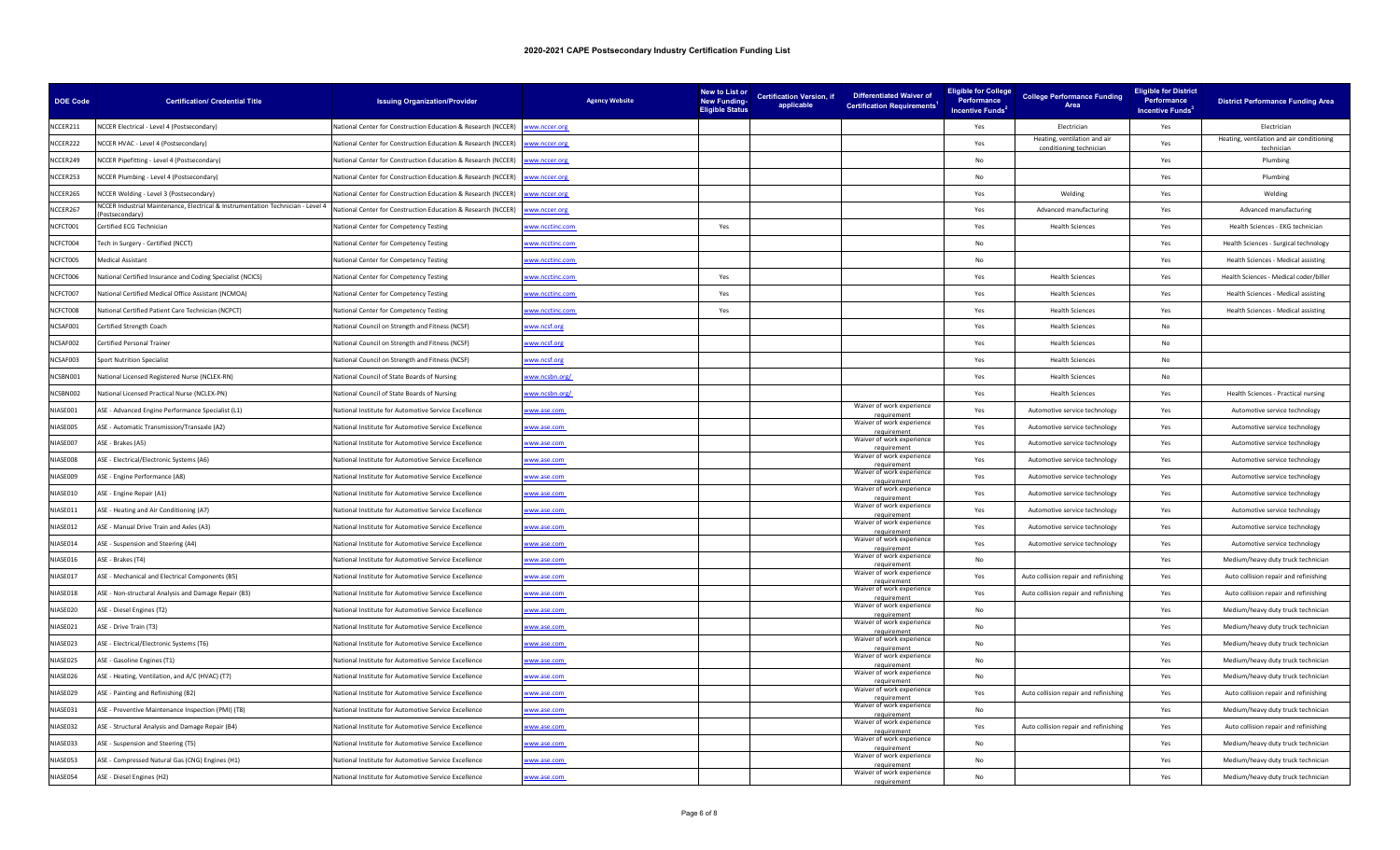| <b>DOE Code</b> | <b>Certification/ Credential Title</b>                                                          | <b>Issuing Organization/Provider</b>                          | <b>Agency Website</b> | New to List or<br><b>New Funding-</b><br><b>Eligible Status</b> | <b>Certification Version, if</b><br>applicable | <b>Differentiated Waiver of</b><br><b>Certification Requirements<sup>1</sup></b> | <b>Eligible for College</b><br><b>Performance</b><br>Incentive Funds <sup>2</sup> | <b>College Performance Funding</b><br>Area             | <b>Eligible for District</b><br>Performance<br>Incentive Funds <sup>3</sup> | <b>District Performance Funding Area</b>                |
|-----------------|-------------------------------------------------------------------------------------------------|---------------------------------------------------------------|-----------------------|-----------------------------------------------------------------|------------------------------------------------|----------------------------------------------------------------------------------|-----------------------------------------------------------------------------------|--------------------------------------------------------|-----------------------------------------------------------------------------|---------------------------------------------------------|
| NCCER211        | NCCER Electrical - Level 4 (Postsecondary)                                                      | lational Center for Construction Education & Research (NCCER) | ww.nccer.org          |                                                                 |                                                |                                                                                  | Yes                                                                               | Electrician                                            | Yes                                                                         | Electrician                                             |
| NCCER222        | NCCER HVAC - Level 4 (Postsecondary)                                                            | National Center for Construction Education & Research (NCCER) | ww.nccer.org          |                                                                 |                                                |                                                                                  | Yes                                                                               | Heating, ventilation and air<br>conditioning technicia | Yes                                                                         | Heating, ventilation and air conditioning<br>techniciar |
| NCCER249        | NCCER Pipefitting - Level 4 (Postsecondary)                                                     | Vational Center for Construction Education & Research (NCCER) | ww.nccer.org          |                                                                 |                                                |                                                                                  | No                                                                                |                                                        | Yes                                                                         | Plumbing                                                |
| NCCER253        | NCCER Plumbing - Level 4 (Postsecondary)                                                        | National Center for Construction Education & Research (NCCER) | www.nccer.org         |                                                                 |                                                |                                                                                  | No                                                                                |                                                        | Yes                                                                         | Plumbing                                                |
| NCCER265        | NCCER Welding - Level 3 (Postsecondary)                                                         | lational Center for Construction Education & Research (NCCER) | ww.nccer.org          |                                                                 |                                                |                                                                                  | Yes                                                                               | Welding                                                | Yes                                                                         | Welding                                                 |
| NCCER267        | NCCER Industrial Maintenance, Electrical & Instrumentation Technician - Level 4<br>ostsecondary | National Center for Construction Education & Research (NCCER) | ww.nccer.org          |                                                                 |                                                |                                                                                  | Yes                                                                               | Advanced manufacturing                                 | Yes                                                                         | Advanced manufacturing                                  |
| NCFCT001        | Certified ECG Technician                                                                        | National Center for Competency Testing                        | ww.ncctinc.com        | Yes                                                             |                                                |                                                                                  | Yes                                                                               | <b>Health Sciences</b>                                 | Yes                                                                         | Health Sciences - EKG technician                        |
| NCFCT004        | Tech in Surgery - Certified (NCCT)                                                              | National Center for Competency Testing                        | ww.ncctinc.com        |                                                                 |                                                |                                                                                  | No                                                                                |                                                        | Yes                                                                         | Health Sciences - Surgical technology                   |
| NCFCT005        | Medical Assistant                                                                               | National Center for Competency Testing                        | www.ncctinc.com       |                                                                 |                                                |                                                                                  | <b>No</b>                                                                         |                                                        | Yes                                                                         | Health Sciences - Medical assisting                     |
| NCFCT006        | National Certified Insurance and Coding Specialist (NCICS)                                      | National Center for Competency Testing                        | ww.ncctinc.com        | Yes                                                             |                                                |                                                                                  | Yes                                                                               | <b>Health Sciences</b>                                 | Yes                                                                         | Health Sciences - Medical coder/biller                  |
| NCFCT007        | National Certified Medical Office Assistant (NCMOA)                                             | National Center for Competency Testing                        | ww.ncctinc.com        | Yes                                                             |                                                |                                                                                  | Yes                                                                               | <b>Health Sciences</b>                                 | Yes                                                                         | Health Sciences - Medical assisting                     |
| NCFCT008        | National Certified Patient Care Technician (NCPCT)                                              | <b>National Center for Competency Testing</b>                 | ww.ncctinc.com        | Yes                                                             |                                                |                                                                                  | Yes                                                                               | <b>Health Sciences</b>                                 | Yes                                                                         | Health Sciences - Medical assisting                     |
| NCSAF001        | Certified Strength Coach                                                                        | National Council on Strength and Fitness (NCSF)               | www.ncsf.org          |                                                                 |                                                |                                                                                  | Yes                                                                               | <b>Health Sciences</b>                                 | No                                                                          |                                                         |
| NCSAF002        | Certified Personal Trainer                                                                      | lational Council on Strength and Fitness (NCSF)               | ww.ncsf.org           |                                                                 |                                                |                                                                                  | Yes                                                                               | <b>Health Sciences</b>                                 | No                                                                          |                                                         |
| NCSAF003        | <b>Sport Nutrition Specialist</b>                                                               | National Council on Strength and Fitness (NCSF)               | www.ncsf.org          |                                                                 |                                                |                                                                                  | Yes                                                                               | <b>Health Sciences</b>                                 | No                                                                          |                                                         |
| NCSBN001        | National Licensed Registered Nurse (NCLEX-RN)                                                   | National Council of State Boards of Nursing                   | ww.ncsbn.org/         |                                                                 |                                                |                                                                                  | Yes                                                                               | <b>Health Sciences</b>                                 | No                                                                          |                                                         |
| NCSBN002        | National Licensed Practical Nurse (NCLEX-PN)                                                    | National Council of State Boards of Nursing                   | www.ncsbn.org/        |                                                                 |                                                |                                                                                  | Yes                                                                               | <b>Health Sciences</b>                                 | Yes                                                                         | Health Sciences - Practical nursing                     |
| NIASE001        | ASE - Advanced Engine Performance Specialist (L1)                                               | National Institute for Automotive Service Excellence          | ww.ase.com            |                                                                 |                                                | Waiver of work experience                                                        | Yes                                                                               | Automotive service technology                          | Yes                                                                         | Automotive service technology                           |
| NIASE005        | ASE - Automatic Transmission/Transaxle (A2)                                                     | National Institute for Automotive Service Excellence          | vww.ase.com           |                                                                 |                                                | Waiver of work experience                                                        | Yes                                                                               | Automotive service technology                          | Yes                                                                         | Automotive service technology                           |
| NIASE007        | ASE - Brakes (A5)                                                                               | National Institute for Automotive Service Excellence          | www.ase.com           |                                                                 |                                                | Waiver of work experience<br>requiremen                                          | Yes                                                                               | Automotive service technology                          | Yes                                                                         | Automotive service technology                           |
| NIASF008        | ASE - Electrical/Electronic Systems (A6)                                                        | National Institute for Automotive Service Excellence          | www.ase.com           |                                                                 |                                                | Waiver of work experience                                                        | Yes                                                                               | Automotive service technology                          | Yes                                                                         | Automotive service technology                           |
| NIASE009        | ASE - Engine Performance (A8)                                                                   | National Institute for Automotive Service Excellence          | ww.ase.com            |                                                                 |                                                | Waiver of work experience<br>requirement                                         | Yes                                                                               | Automotive service technology                          | Yes                                                                         | Automotive service technology                           |
| NIASE010        | ASE - Engine Repair (A1)                                                                        | Vational Institute for Automotive Service Excellence          | ww.ase.com            |                                                                 |                                                | Waiver of work experience                                                        | Yes                                                                               | Automotive service technology                          | Yes                                                                         | Automotive service technology                           |
| NIASE011        | ASE - Heating and Air Conditioning (A7)                                                         | National Institute for Automotive Service Excellence          | ww.ase.com            |                                                                 |                                                | Waiver of work experience<br>requirement                                         | Yes                                                                               | Automotive service technology                          | Yes                                                                         | Automotive service technology                           |
| NIASE012        | ASE - Manual Drive Train and Axles (A3)                                                         | National Institute for Automotive Service Excellence          | ww.ase.com            |                                                                 |                                                | Waiver of work experience                                                        | Yes                                                                               | Automotive service technology                          | Yes                                                                         | Automotive service technology                           |
| NIASE014        | ASE - Suspension and Steering (A4)                                                              | National Institute for Automotive Service Excellence          | vww.ase.com           |                                                                 |                                                | Waiver of work experience<br>requirement                                         | Yes                                                                               | Automotive service technology                          | Yes                                                                         | Automotive service technology                           |
| NIASE016        | ASE - Brakes (T4)                                                                               | lational Institute for Automotive Service Excellence          | ww.ase.com            |                                                                 |                                                | Waiver of work experience                                                        | No                                                                                |                                                        | Yes                                                                         | Medium/heavy duty truck technician                      |
| NIASE017        | ASE - Mechanical and Electrical Components (B5)                                                 | National Institute for Automotive Service Excellence          | www.ase.com           |                                                                 |                                                | Waiver of work experience                                                        | Yes                                                                               | Auto collision repair and refinishing                  | Yes                                                                         | Auto collision repair and refinishing                   |
| NIASE018        | ASE - Non-structural Analysis and Damage Repair (B3)                                            | National Institute for Automotive Service Excellence          | vww.ase.com           |                                                                 |                                                | Waiver of work experience                                                        | Yes                                                                               | Auto collision repair and refinishing                  | Yes                                                                         | Auto collision repair and refinishing                   |
| NIASE020        | ASE - Diesel Engines (T2)                                                                       | National Institute for Automotive Service Excellence          | www.ase.com           |                                                                 |                                                | Waiver of work experience<br>requiremen                                          | <b>No</b>                                                                         |                                                        | Yes                                                                         | Medium/heavy duty truck technician                      |
| NIASE021        | ASE - Drive Train (T3)                                                                          | National Institute for Automotive Service Excellence          | www.ase.com           |                                                                 |                                                | Waiver of work experience<br>requiremen                                          | <b>No</b>                                                                         |                                                        | Yes                                                                         | Medium/heavy duty truck technician                      |
| NIASE023        | ASE - Electrical/Electronic Systems (T6)                                                        | National Institute for Automotive Service Excellence          | ww.ase.com            |                                                                 |                                                | Waiver of work experience                                                        | <b>No</b>                                                                         |                                                        | Yes                                                                         | Medium/heavy duty truck technician                      |
| NIASE025        | ASE - Gasoline Engines (T1)                                                                     | National Institute for Automotive Service Excellence          | www.ase.com           |                                                                 |                                                | Waiver of work experience<br>requirement                                         | <b>No</b>                                                                         |                                                        | Yes                                                                         | Medium/heavy duty truck technician                      |
| NIASE026        | ASE - Heating, Ventilation, and A/C (HVAC) (T7)                                                 | National Institute for Automotive Service Excellence          | vww.ase.com           |                                                                 |                                                | Waiver of work experience                                                        | N <sub>0</sub>                                                                    |                                                        | Yes                                                                         | Medium/heavy duty truck technician                      |
| NIASE029        | ASE - Painting and Refinishing (B2)                                                             | National Institute for Automotive Service Excellence          | ww.ase.com            |                                                                 |                                                | Waiver of work experience<br>requirement                                         | Yes                                                                               | Auto collision repair and refinishing                  | Yes                                                                         | Auto collision repair and refinishing                   |
| NIASE031        | ASE - Preventive Maintenance Inspection (PMI) (T8)                                              | Vational Institute for Automotive Service Excellence          | ww.ase.com            |                                                                 |                                                | Waiver of work experience                                                        | No                                                                                |                                                        | Yes                                                                         | Medium/heavy duty truck technician                      |
| NIASE032        | ASE - Structural Analysis and Damage Repair (B4)                                                | National Institute for Automotive Service Excellence          | vww.ase.com           |                                                                 |                                                | Waiver of work experience                                                        | Yes                                                                               | Auto collision repair and refinishing                  | Yes                                                                         | Auto collision repair and refinishing                   |
| NIASE033        | ASE - Suspension and Steering (T5)                                                              | National Institute for Automotive Service Excellence          | vww.ase.com           |                                                                 |                                                | requirement<br>Waiver of work experience                                         | No                                                                                |                                                        | Yes                                                                         | Medium/heavy duty truck technician                      |
| NIASE053        | ASE - Compressed Natural Gas (CNG) Engines (H1)                                                 | National Institute for Automotive Service Excellence          | www.ase.com           |                                                                 |                                                | Waiver of work experience<br>equiremen                                           | No                                                                                |                                                        | Yes                                                                         | Medium/heavy duty truck technician                      |
| NIASE054        | ASE - Diesel Engines (H2)                                                                       | National Institute for Automotive Service Excellence          | vww.ase.com           |                                                                 |                                                | Waiver of work experience                                                        | N <sub>o</sub>                                                                    |                                                        | Yes                                                                         | Medium/heavy duty truck technician                      |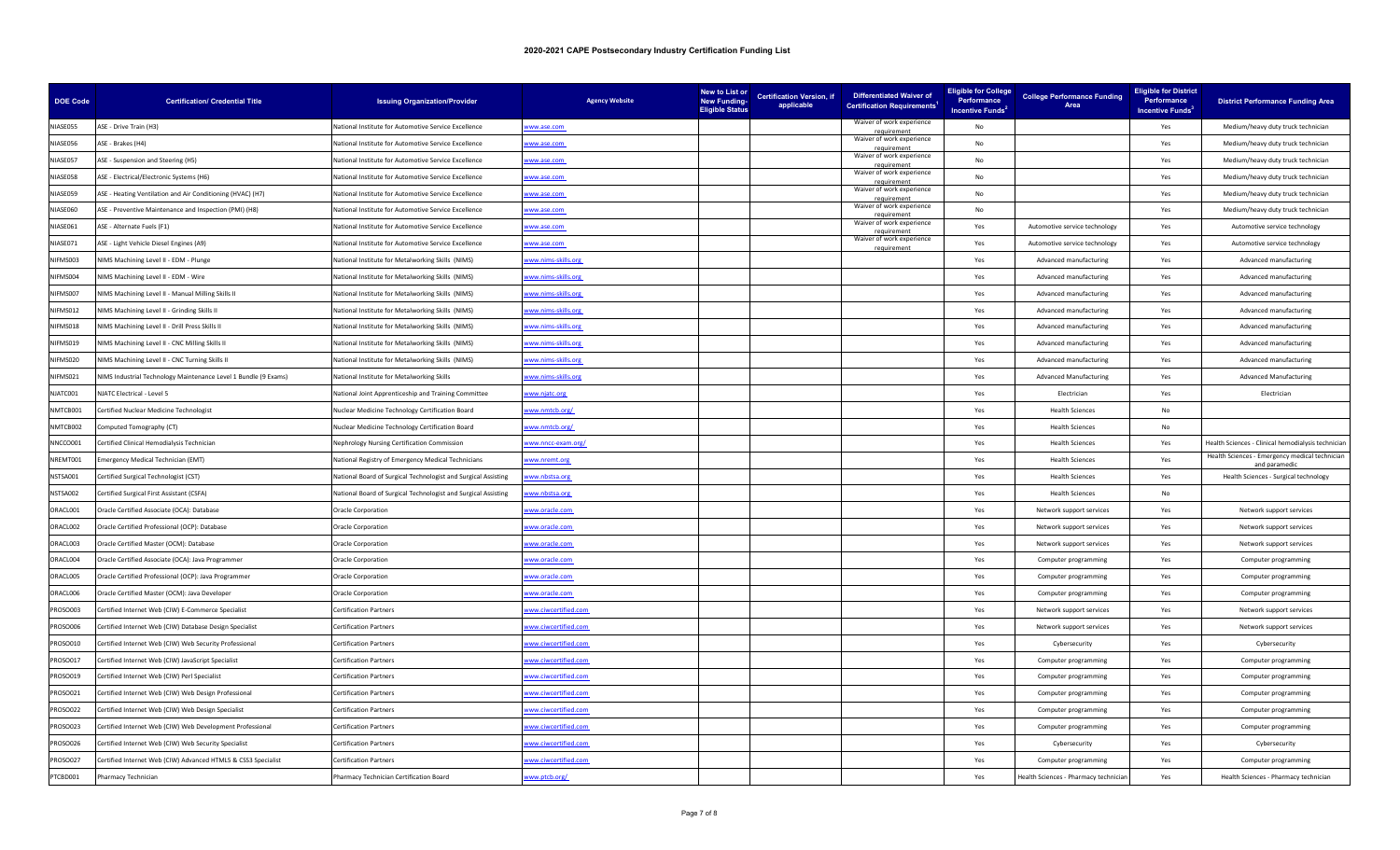| <b>DOE Code</b> | <b>Certification/ Credential Title</b>                          | <b>Issuing Organization/Provider</b>                           | <b>Agency Website</b> | New to List or<br><b>New Funding-</b><br><b>Eligible Status</b> | <b>Certification Version, if</b><br>applicable | <b>Differentiated Waiver of</b><br><b>Certification Requirements<sup>1</sup></b> | <b>Eligible for College</b><br>Performance<br>Incentive Funds <sup>2</sup> | <b>College Performance Funding</b><br>Area | <b>Eligible for District</b><br>Performance<br>Incentive Funds <sup>3</sup> | <b>District Performance Funding Area</b>                        |
|-----------------|-----------------------------------------------------------------|----------------------------------------------------------------|-----------------------|-----------------------------------------------------------------|------------------------------------------------|----------------------------------------------------------------------------------|----------------------------------------------------------------------------|--------------------------------------------|-----------------------------------------------------------------------------|-----------------------------------------------------------------|
| NIASE055        | ASE - Drive Train (H3)                                          | lational Institute for Automotive Service Excellence           | ww.ase.com            |                                                                 |                                                | Waiver of work experience                                                        | No                                                                         |                                            | Yes                                                                         | Medium/heavy duty truck technician                              |
| NIASE056        | ASE - Brakes (H4)                                               | National Institute for Automotive Service Excellence           | vww.ase.com           |                                                                 |                                                | Waiver of work experience<br>requirement                                         | No                                                                         |                                            | Yes                                                                         | Medium/heavy duty truck technician                              |
| NIASE057        | ASE - Suspension and Steering (H5)                              | <b>Vational Institute for Automotive Service Excellence</b>    | ww.ase.com            |                                                                 |                                                | Waiver of work experience                                                        | No                                                                         |                                            | Yes                                                                         | Medium/heavy duty truck technician                              |
| NIASE058        | ASE - Electrical/Electronic Systems (H6)                        | National Institute for Automotive Service Excellence           | www.ase.com           |                                                                 |                                                | Waiver of work experience                                                        | No                                                                         |                                            | Yes                                                                         | Medium/heavy duty truck technician                              |
| NIASE059        | ASE - Heating Ventilation and Air Conditioning (HVAC) (H7)      | lational Institute for Automotive Service Excellence           | ww.ase.com            |                                                                 |                                                | Waiver of work experience                                                        | No                                                                         |                                            | Yes                                                                         | Medium/heavy duty truck technician                              |
| NIASE060        | ASE - Preventive Maintenance and Inspection (PMI) (H8)          | National Institute for Automotive Service Excellence           | www.ase.com           |                                                                 |                                                | Waiver of work experience                                                        | <b>No</b>                                                                  |                                            | Yes                                                                         | Medium/heavy duty truck technician                              |
| NIASE061        | ASE - Alternate Fuels (F1)                                      | National Institute for Automotive Service Excellence           | ww.ase.com            |                                                                 |                                                | Waiver of work experience                                                        | Yes                                                                        | Automotive service technology              | Yes                                                                         | Automotive service technology                                   |
| NIASE071        | ASE - Light Vehicle Diesel Engines (A9)                         | National Institute for Automotive Service Excellence           | www.ase.com           |                                                                 |                                                | Waiver of work experience<br>requirement                                         | Yes                                                                        | Automotive service technology              | Yes                                                                         | Automotive service technology                                   |
| NIFMS003        | NIMS Machining Level II - EDM - Plunge                          | National Institute for Metalworking Skills (NIMS)              | www.nims-skills.org   |                                                                 |                                                |                                                                                  | Yes                                                                        | Advanced manufacturing                     | Yes                                                                         | Advanced manufacturing                                          |
| NIFMS004        | NIMS Machining Level II - EDM - Wire                            | National Institute for Metalworking Skills (NIMS)              | ww.nims-skills.org    |                                                                 |                                                |                                                                                  | Yes                                                                        | Advanced manufacturing                     | Yes                                                                         | Advanced manufacturing                                          |
| NIFMS007        | NIMS Machining Level II - Manual Milling Skills II              | National Institute for Metalworking Skills (NIMS)              | ww.nims-skills.org    |                                                                 |                                                |                                                                                  | Yes                                                                        | Advanced manufacturing                     | Yes                                                                         | Advanced manufacturing                                          |
| NIFMS012        | NIMS Machining Level II - Grinding Skills II                    | National Institute for Metalworking Skills (NIMS)              | ww.nims-skills.org    |                                                                 |                                                |                                                                                  | Yes                                                                        | Advanced manufacturing                     | Yes                                                                         | Advanced manufacturing                                          |
| NIFMS018        | NIMS Machining Level II - Drill Press Skills II                 | National Institute for Metalworking Skills (NIMS)              | www.nims-skills.org   |                                                                 |                                                |                                                                                  | Yes                                                                        | Advanced manufacturing                     | Yes                                                                         | Advanced manufacturing                                          |
| NIFMS019        | NIMS Machining Level II - CNC Milling Skills II                 | lational Institute for Metalworking Skills (NIMS)              | ww.nims-skills.org    |                                                                 |                                                |                                                                                  | Yes                                                                        | Advanced manufacturing                     | Yes                                                                         | Advanced manufacturing                                          |
| NIFMS020        | NIMS Machining Level II - CNC Turning Skills II                 | National Institute for Metalworking Skills (NIMS)              | ww.nims-skills.org    |                                                                 |                                                |                                                                                  | Yes                                                                        | Advanced manufacturing                     | Yes                                                                         | Advanced manufacturing                                          |
| NIFMS021        | NIMS Industrial Technology Maintenance Level 1 Bundle (9 Exams) | National Institute for Metalworking Skills                     | ww.nims-skills.org    |                                                                 |                                                |                                                                                  | Yes                                                                        | <b>Advanced Manufacturing</b>              | Yes                                                                         | <b>Advanced Manufacturing</b>                                   |
| NJATC001        | NJATC Electrical - Level 5                                      | National Joint Apprenticeship and Training Committee           | www.njatc.org         |                                                                 |                                                |                                                                                  | Yes                                                                        | Electrician                                | Yes                                                                         | Electrician                                                     |
| NMTCB001        | Certified Nuclear Medicine Technologist                         | Nuclear Medicine Technology Certification Board                | ww.nmtcb.org/         |                                                                 |                                                |                                                                                  | Yes                                                                        | <b>Health Sciences</b>                     | No                                                                          |                                                                 |
| NMTCB002        | Computed Tomography (CT)                                        | Nuclear Medicine Technology Certification Board                | ww.nmtcb.org/         |                                                                 |                                                |                                                                                  | Yes                                                                        | <b>Health Sciences</b>                     | No                                                                          |                                                                 |
| NNCCO001        | Certified Clinical Hemodialysis Technician                      | <b>Nephrology Nursing Certification Commission</b>             | ww.nncc-exam.org/     |                                                                 |                                                |                                                                                  | Yes                                                                        | <b>Health Sciences</b>                     | Yes                                                                         | Health Sciences - Clinical hemodialysis technician              |
| NRFMT001        | mergency Medical Technician (EMT)                               | National Registry of Emergency Medical Technicians             | www.nremt.org         |                                                                 |                                                |                                                                                  | Yes                                                                        | <b>Health Sciences</b>                     | Yes                                                                         | Health Sciences - Emergency medical technician<br>and paramedic |
| NSTSA001        | Certified Surgical Technologist (CST)                           | National Board of Surgical Technologist and Surgical Assisting | ww.nbstsa.org         |                                                                 |                                                |                                                                                  | Yes                                                                        | <b>Health Sciences</b>                     | Yes                                                                         | Health Sciences - Surgical technology                           |
| NSTSA002        | Certified Surgical First Assistant (CSFA)                       | lational Board of Surgical Technologist and Surgical Assisting | ww.nbstsa.org         |                                                                 |                                                |                                                                                  | Yes                                                                        | <b>Health Sciences</b>                     | No                                                                          |                                                                 |
| ORACL001        | Oracle Certified Associate (OCA): Database                      | <b>Oracle Corporation</b>                                      | ww.oracle.com         |                                                                 |                                                |                                                                                  | Yes                                                                        | Network support services                   | Yes                                                                         | Network support services                                        |
| ORACL002        | Oracle Certified Professional (OCP): Database                   | Oracle Corporation                                             | ww.oracle.com         |                                                                 |                                                |                                                                                  | Yes                                                                        | Network support services                   | Yes                                                                         | Network support services                                        |
| ORACL003        | Oracle Certified Master (OCM): Database                         | Oracle Corporation                                             | www.oracle.com        |                                                                 |                                                |                                                                                  | Yes                                                                        | Network support services                   | Yes                                                                         | Network support services                                        |
| ORACL004        | Oracle Certified Associate (OCA): Java Programmer               | Oracle Corporation                                             | ww.oracle.com         |                                                                 |                                                |                                                                                  | Yes                                                                        | Computer programming                       | Yes                                                                         | Computer programming                                            |
| ORACL005        | Oracle Certified Professional (OCP): Java Programmer            | <b>Oracle Corporation</b>                                      | www.oracle.com        |                                                                 |                                                |                                                                                  | Yes                                                                        | Computer programming                       | Yes                                                                         | Computer programming                                            |
| ORACL006        | Oracle Certified Master (OCM): Java Developer                   | Oracle Corporation                                             | ww.oracle.com         |                                                                 |                                                |                                                                                  | Yes                                                                        | Computer programming                       | Yes                                                                         | Computer programming                                            |
| PROSO003        | Certified Internet Web (CIW) E-Commerce Specialist              | <b>Certification Partners</b>                                  | ww.ciwcertified.com   |                                                                 |                                                |                                                                                  | Yes                                                                        | Network support services                   | Yes                                                                         | Network support services                                        |
| ROSO006         | Certified Internet Web (CIW) Database Design Specialist         | Certification Partners                                         | ww.ciwcertified.com   |                                                                 |                                                |                                                                                  | Yes                                                                        | Network support services                   | Yes                                                                         | Network support services                                        |
| ROSO010         | Certified Internet Web (CIW) Web Security Professional          | <b>Certification Partners</b>                                  | ww.ciwcertified.com   |                                                                 |                                                |                                                                                  | Yes                                                                        | Cybersecurity                              | Yes                                                                         | Cybersecurity                                                   |
| ROSO017         | Certified Internet Web (CIW) JavaScript Specialist              | <b>Certification Partners</b>                                  | ww.ciwcertified.com   |                                                                 |                                                |                                                                                  | Yes                                                                        | Computer programming                       | Yes                                                                         | Computer programming                                            |
| PROSO019        | Certified Internet Web (CIW) Perl Specialist                    | <b>Certification Partners</b>                                  | ww.ciwcertified.com   |                                                                 |                                                |                                                                                  | Yes                                                                        | Computer programming                       | Yes                                                                         | Computer programming                                            |
| PROSO021        | Certified Internet Web (CIW) Web Design Professional            | <b>Certification Partners</b>                                  | ww.ciwcertified.com   |                                                                 |                                                |                                                                                  | Yes                                                                        | Computer programming                       | Yes                                                                         | Computer programming                                            |
| PROSO022        | Certified Internet Web (CIW) Web Design Specialist              | <b>Certification Partners</b>                                  | ww.ciwcertified.com   |                                                                 |                                                |                                                                                  | Yes                                                                        | Computer programming                       | Yes                                                                         | Computer programming                                            |
| ROSO023         | Certified Internet Web (CIW) Web Development Professional       | <b>Certification Partners</b>                                  | ww.ciwcertified.com   |                                                                 |                                                |                                                                                  | Yes                                                                        | Computer programming                       | Yes                                                                         | Computer programming                                            |
| PROSO026        | Certified Internet Web (CIW) Web Security Specialist            | <b>Certification Partners</b>                                  | ww.ciwcertified.com   |                                                                 |                                                |                                                                                  | Yes                                                                        | Cybersecurity                              | Yes                                                                         | Cybersecurity                                                   |
| PROSO027        | Certified Internet Web (CIW) Advanced HTML5 & CSS3 Specialist   | <b>Certification Partners</b>                                  | vww.ciwcertified.com  |                                                                 |                                                |                                                                                  | Yes                                                                        | Computer programming                       | Yes                                                                         | Computer programming                                            |
| PTCBD001        | Pharmacy Technician                                             | Pharmacy Technician Certification Board                        | www.ptcb.org/         |                                                                 |                                                |                                                                                  | Yes                                                                        | Health Sciences - Pharmacy technicial      | Yes                                                                         | Health Sciences - Pharmacy technician                           |